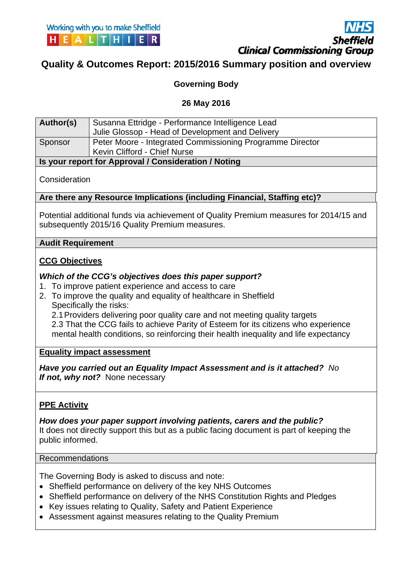

**Quality & Outcomes Report: 2015/2016 Summary position and overview**

## **Governing Body**

## **26 May 2016**

| Author(s)                   | Susanna Ettridge - Performance Intelligence Lead                                                                                                                                |  |  |  |  |  |  |
|-----------------------------|---------------------------------------------------------------------------------------------------------------------------------------------------------------------------------|--|--|--|--|--|--|
|                             | Julie Glossop - Head of Development and Delivery                                                                                                                                |  |  |  |  |  |  |
| Sponsor                     | Peter Moore - Integrated Commissioning Programme Director                                                                                                                       |  |  |  |  |  |  |
|                             | Kevin Clifford - Chief Nurse                                                                                                                                                    |  |  |  |  |  |  |
|                             | Is your report for Approval / Consideration / Noting                                                                                                                            |  |  |  |  |  |  |
| Consideration               |                                                                                                                                                                                 |  |  |  |  |  |  |
|                             | Are there any Resource Implications (including Financial, Staffing etc)?                                                                                                        |  |  |  |  |  |  |
|                             | Potential additional funds via achievement of Quality Premium measures for 2014/15 and<br>subsequently 2015/16 Quality Premium measures.                                        |  |  |  |  |  |  |
| <b>Audit Requirement</b>    |                                                                                                                                                                                 |  |  |  |  |  |  |
| <b>CCG Objectives</b><br>1. | Which of the CCG's objectives does this paper support?<br>To improve patient experience and access to care<br>2. To improve the quality and equality of healthcare in Sheffield |  |  |  |  |  |  |
|                             | Specifically the risks:                                                                                                                                                         |  |  |  |  |  |  |

## **Equality impact assessment**

*Have you carried out an Equality Impact Assessment and is it attached? No If not, why not?* None necessary

## **PPE Activity**

*How does your paper support involving patients, carers and the public?*  It does not directly support this but as a public facing document is part of keeping the public informed.

## Recommendations

The Governing Body is asked to discuss and note:

- Sheffield performance on delivery of the key NHS Outcomes
- Sheffield performance on delivery of the NHS Constitution Rights and Pledges
- Key issues relating to Quality, Safety and Patient Experience
- Assessment against measures relating to the Quality Premium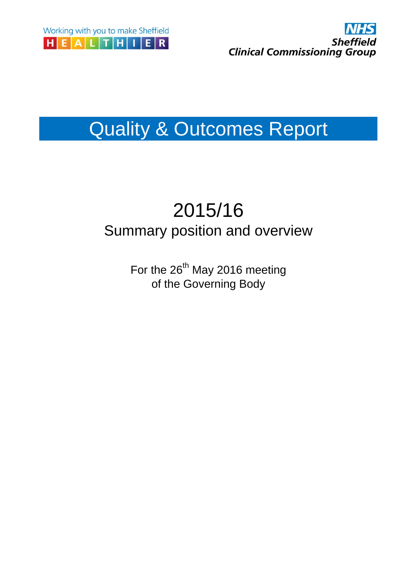



# Quality & Outcomes Report

## 2015/16 Summary position and overview

For the 26<sup>th</sup> May 2016 meeting of the Governing Body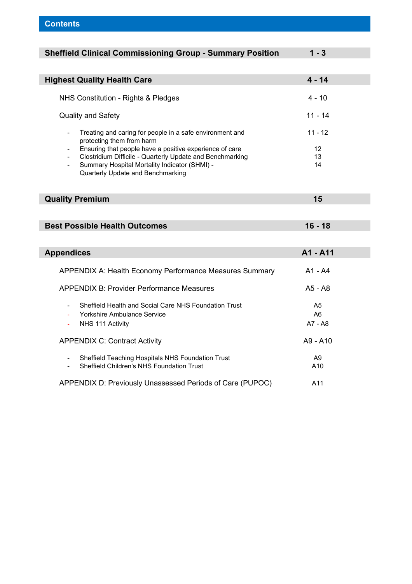| <b>Sheffield Clinical Commissioning Group - Summary Position</b>                      | $1 - 3$        |
|---------------------------------------------------------------------------------------|----------------|
|                                                                                       |                |
| <b>Highest Quality Health Care</b>                                                    | $4 - 14$       |
| NHS Constitution - Rights & Pledges                                                   | $4 - 10$       |
| Quality and Safety                                                                    | $11 - 14$      |
| Treating and caring for people in a safe environment and<br>protecting them from harm | $11 - 12$      |
| Ensuring that people have a positive experience of care<br>$\overline{\phantom{a}}$   | 12             |
| Clostridium Difficile - Quarterly Update and Benchmarking                             | 13<br>14       |
| Summary Hospital Mortality Indicator (SHMI) -<br>Quarterly Update and Benchmarking    |                |
|                                                                                       |                |
| <b>Quality Premium</b>                                                                | 15             |
|                                                                                       |                |
| <b>Best Possible Health Outcomes</b>                                                  | $16 - 18$      |
|                                                                                       |                |
|                                                                                       |                |
| <b>Appendices</b>                                                                     | A1 - A11       |
| APPENDIX A: Health Economy Performance Measures Summary                               | $A1 - A4$      |
| <b>APPENDIX B: Provider Performance Measures</b>                                      | A5 - A8        |
| Sheffield Health and Social Care NHS Foundation Trust                                 | A5             |
| Yorkshire Ambulance Service                                                           | A6             |
| NHS 111 Activity                                                                      | A7 - A8        |
| <b>APPENDIX C: Contract Activity</b>                                                  | A9 - A10       |
| Sheffield Teaching Hospitals NHS Foundation Trust<br>$\overline{\phantom{a}}$         | A <sub>9</sub> |
| Sheffield Children's NHS Foundation Trust                                             | A10            |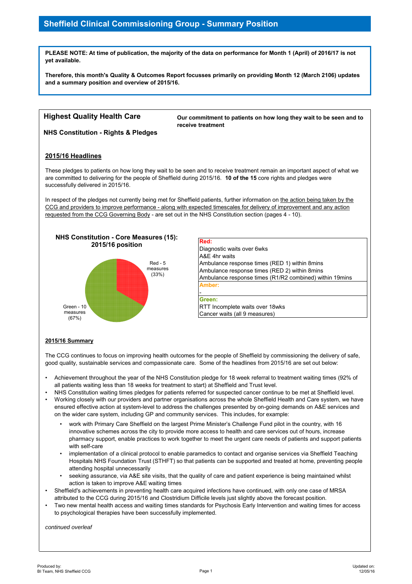## **Sheffield Clinical Commissioning Group - Summary Position**

**PLEASE NOTE: At time of publication, the majority of the data on performance for Month 1 (April) of 2016/17 is not yet available.**

**Therefore, this month's Quality & Outcomes Report focusses primarily on providing Month 12 (March 2106) updates and a summary position and overview of 2015/16.**

## **Highest Quality Health Care**

**Our commitment to patients on how long they wait to be seen and to receive treatment**

**NHS Constitution - Rights & Pledges**

#### **2015/16 Headlines**

These pledges to patients on how long they wait to be seen and to receive treatment remain an important aspect of what we are committed to delivering for the people of Sheffield during 2015/16. **10 of the 15** core rights and pledges were successfully delivered in 2015/16.

In respect of the pledges not currently being met for Sheffield patients, further information on the action being taken by the CCG and providers to improve performance - along with expected timescales for delivery of improvement and any action requested from the CCG Governing Body - are set out in the NHS Constitution section (pages 4 - 10).



| Red:                                                                       |
|----------------------------------------------------------------------------|
| Diagnostic waits over 6wks                                                 |
| A&E 4hr waits                                                              |
| Ambulance response times (RED 1) within 8 mins                             |
| Ambulance response times (RED 2) within 8mins                              |
| Ambulance response times (R1/R2 combined) within 19mins                    |
| Amber:                                                                     |
|                                                                            |
| Green:                                                                     |
| $\overline{\text{DTT}}$ lease mulate weite award $\overline{\text{O}}$ wis |

RTT Incomplete waits over 18wks Cancer waits (all 9 measures)

#### **2015/16 Summary**

The CCG continues to focus on improving health outcomes for the people of Sheffield by commissioning the delivery of safe, good quality, sustainable services and compassionate care. Some of the headlines from 2015/16 are set out below:

- Achievement throughout the year of the NHS Constitution pledge for 18 week referral to treatment waiting times (92% of all patients waiting less than 18 weeks for treatment to start) at Sheffield and Trust level.
- NHS Constitution waiting times pledges for patients referred for suspected cancer continue to be met at Sheffield level.
- Working closely with our providers and partner organisations across the whole Sheffield Health and Care system, we have ensured effective action at system-level to address the challenges presented by on-going demands on A&E services and on the wider care system, including GP and community services. This includes, for example:
	- work with Primary Care Sheffield on the largest Prime Minister's Challenge Fund pilot in the country, with 16 innovative schemes across the city to provide more access to health and care services out of hours, increase pharmacy support, enable practices to work together to meet the urgent care needs of patients and support patients with self-care
	- implementation of a clinical protocol to enable paramedics to contact and organise services via Sheffield Teaching Hospitals NHS Foundation Trust (STHFT) so that patients can be supported and treated at home, preventing people attending hospital unnecessarily
	- seeking assurance, via A&E site visits, that the quality of care and patient experience is being maintained whilst action is taken to improve A&E waiting times
- Sheffield's achievements in preventing health care acquired infections have continued, with only one case of MRSA attributed to the CCG during 2015/16 and Clostridium Difficile levels just slightly above the forecast position.
- Two new mental health access and waiting times standards for Psychosis Early Intervention and waiting times for access to psychological therapies have been successfully implemented.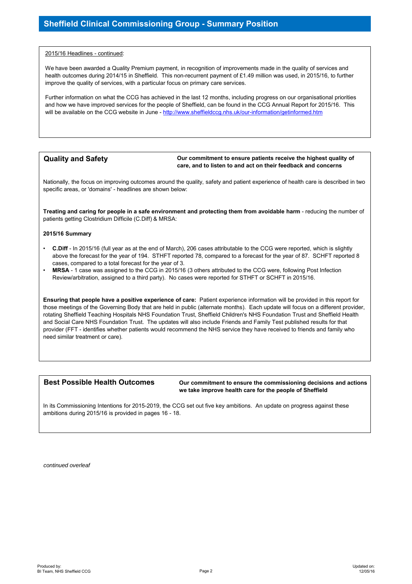#### 2015/16 Headlines - continued:

We have been awarded a Quality Premium payment, in recognition of improvements made in the quality of services and health outcomes during 2014/15 in Sheffield. This non-recurrent payment of £1.49 million was used, in 2015/16, to further improve the quality of services, with a particular focus on primary care services.

Further information on what the CCG has achieved in the last 12 months, including progress on our organisational priorities and how we have improved services for the people of Sheffield, can be found in the CCG Annual Report for 2015/16. This will be available on the CCG website in June - http://www.sheffieldccg.nhs.uk/our-information/getinformed.htm

#### **Quality and Safety**

**Our commitment to ensure patients receive the highest quality of care, and to listen to and act on their feedback and concerns**

Nationally, the focus on improving outcomes around the quality, safety and patient experience of health care is described in two specific areas, or 'domains' - headlines are shown below:

**Treating and caring for people in a safe environment and protecting them from avoidable harm** - reducing the number of patients getting Clostridium Difficile (C.Diff) & MRSA:

#### **2015/16 Summary**

- **C.Diff** In 2015/16 (full year as at the end of March), 206 cases attributable to the CCG were reported, which is slightly above the forecast for the year of 194. STHFT reported 78, compared to a forecast for the year of 87. SCHFT reported 8 cases, compared to a total forecast for the year of 3.
- **MRSA** 1 case was assigned to the CCG in 2015/16 (3 others attributed to the CCG were, following Post Infection Review/arbitration, assigned to a third party). No cases were reported for STHFT or SCHFT in 2015/16.

**Ensuring that people have a positive experience of care:** Patient experience information will be provided in this report for those meetings of the Governing Body that are held in public (alternate months). Each update will focus on a different provider, rotating Sheffield Teaching Hospitals NHS Foundation Trust, Sheffield Children's NHS Foundation Trust and Sheffield Health and Social Care NHS Foundation Trust. The updates will also include Friends and Family Test published results for that provider (FFT - identifies whether patients would recommend the NHS service they have received to friends and family who need similar treatment or care).

#### **Best Possible Health Outcomes**

**Our commitment to ensure the commissioning decisions and actions we take improve health care for the people of Sheffield**

In its Commissioning Intentions for 2015-2019, the CCG set out five key ambitions. An update on progress against these ambitions during 2015/16 is provided in pages 16 - 18.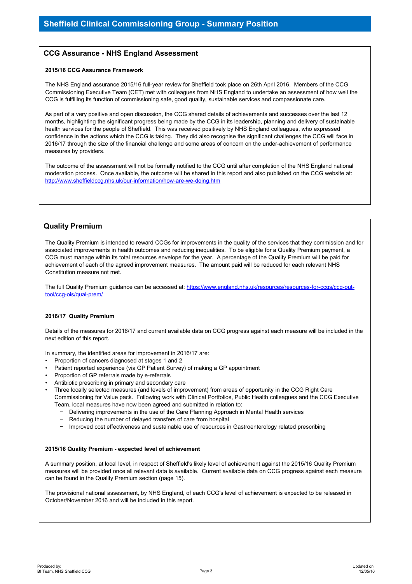#### **CCG Assurance - NHS England Assessment**

#### **2015/16 CCG Assurance Framework**

The NHS England assurance 2015/16 full-year review for Sheffield took place on 26th April 2016. Members of the CCG Commissioning Executive Team (CET) met with colleagues from NHS England to undertake an assessment of how well the CCG is fulfilling its function of commissioning safe, good quality, sustainable services and compassionate care.

As part of a very positive and open discussion, the CCG shared details of achievements and successes over the last 12 months, highlighting the significant progress being made by the CCG in its leadership, planning and delivery of sustainable health services for the people of Sheffield. This was received positively by NHS England colleagues, who expressed confidence in the actions which the CCG is taking. They did also recognise the significant challenges the CCG will face in 2016/17 through the size of the financial challenge and some areas of concern on the under-achievement of performance measures by providers.

The outcome of the assessment will not be formally notified to the CCG until after completion of the NHS England national moderation process. Once available, the outcome will be shared in this report and also published on the CCG website at: http://www.sheffieldccg.nhs.uk/our-information/how-are-we-doing.htm

### **Quality Premium**

The Quality Premium is intended to reward CCGs for improvements in the quality of the services that they commission and for associated improvements in health outcomes and reducing inequalities. To be eligible for a Quality Premium payment, a CCG must manage within its total resources envelope for the year. A percentage of the Quality Premium will be paid for achievement of each of the agreed improvement measures. The amount paid will be reduced for each relevant NHS Constitution measure not met.

The full Quality Premium guidance can be accessed at: https://www.england.nhs.uk/resources/resources-for-ccgs/ccq-outtool/ccg-ois/qual-prem/

#### **2016/17 Quality Premium**

Details of the measures for 2016/17 and current available data on CCG progress against each measure will be included in the next edition of this report.

In summary, the identified areas for improvement in 2016/17 are:

- Proportion of cancers diagnosed at stages 1 and 2
- Patient reported experience (via GP Patient Survey) of making a GP appointment
- Proportion of GP referrals made by e-referrals
- Antibiotic prescribing in primary and secondary care
- Three locally selected measures (and levels of improvement) from areas of opportunity in the CCG Right Care Commissioning for Value pack. Following work with Clinical Portfolios, Public Health colleagues and the CCG Executive Team, local measures have now been agreed and submitted in relation to:
	- − Delivering improvements in the use of the Care Planning Approach in Mental Health services
	- − Reducing the number of delayed transfers of care from hospital
	- − Improved cost effectiveness and sustainable use of resources in Gastroenterology related prescribing

#### **2015/16 Quality Premium - expected level of achievement**

A summary position, at local level, in respect of Sheffield's likely level of achievement against the 2015/16 Quality Premium measures will be provided once all relevant data is available. Current available data on CCG progress against each measure can be found in the Quality Premium section (page 15).

The provisional national assessment, by NHS England, of each CCG's level of achievement is expected to be released in October/November 2016 and will be included in this report.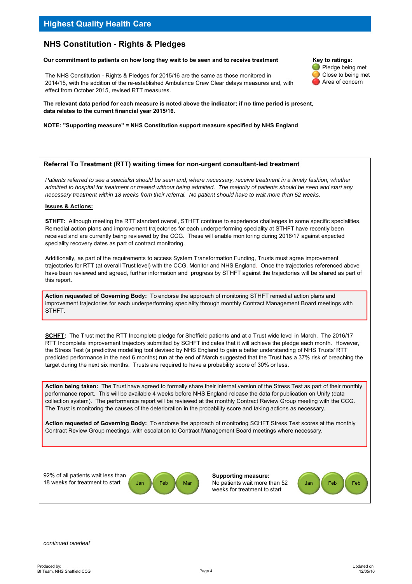## **Highest Quality Health Care**

## **NHS Constitution - Rights & Pledges**

#### Our commitment to patients on how long they wait to be seen and to receive treatment Key to ratings:

The NHS Constitution - Rights & Pledges for 2015/16 are the same as those monitored in 2014/15, with the addition of the re-established Ambulance Crew Clear delays measures and, with effect from October 2015, revised RTT measures.

**The relevant data period for each measure is noted above the indicator; if no time period is present, data relates to the current financial year 2015/16.**

#### **NOTE: "Supporting measure" = NHS Constitution support measure specified by NHS England**

#### **Referral To Treatment (RTT) waiting times for non-urgent consultant-led treatment**

Patients referred to see a specialist should be seen and, where necessary, receive treatment in a timely fashion, whether *admitted to hospital for treatment or treated without being admitted. The majority of patients should be seen and start any necessary treatment within 18 weeks from their referral. No patient should have to wait more than 52 weeks.*

#### **Issues & Actions:**

**STHFT:** Although meeting the RTT standard overall, STHFT continue to experience challenges in some specific specialities. Remedial action plans and improvement trajectories for each underperforming speciality at STHFT have recently been received and are currently being reviewed by the CCG. These will enable monitoring during 2016/17 against expected speciality recovery dates as part of contract monitoring.

Additionally, as part of the requirements to access System Transformation Funding, Trusts must agree improvement trajectories for RTT (at overall Trust level) with the CCG, Monitor and NHS England. Once the trajectories referenced above have been reviewed and agreed, further information and progress by STHFT against the trajectories will be shared as part of this report.

**Action requested of Governing Body:** To endorse the approach of monitoring STHFT remedial action plans and improvement trajectories for each underperforming speciality through monthly Contract Management Board meetings with STHFT.

**SCHFT:** The Trust met the RTT Incomplete pledge for Sheffield patients and at a Trust wide level in March. The 2016/17 RTT Incomplete improvement trajectory submitted by SCHFT indicates that it will achieve the pledge each month. However, the Stress Test (a predictive modelling tool devised by NHS England to gain a better understanding of NHS Trusts' RTT predicted performance in the next 6 months) run at the end of March suggested that the Trust has a 37% risk of breaching the target during the next six months. Trusts are required to have a probability score of 30% or less.

**Action being taken:** The Trust have agreed to formally share their internal version of the Stress Test as part of their monthly performance report. This will be available 4 weeks before NHS England release the data for publication on Unify (data collection system). The performance report will be reviewed at the monthly Contract Review Group meeting with the CCG. The Trust is monitoring the causes of the deterioration in the probability score and taking actions as necessary.

**Action requested of Governing Body:** To endorse the approach of monitoring SCHFT Stress Test scores at the monthly Contract Review Group meetings, with escalation to Contract Management Board meetings where necessary.

92% of all patients wait less than 18 weeks for treatment to start



**Supporting measure:** Jan Feb Mar No patients wait more than 52 Jan Feb Feb weeks for treatment to start



Pledge being met Close to being met Area of concern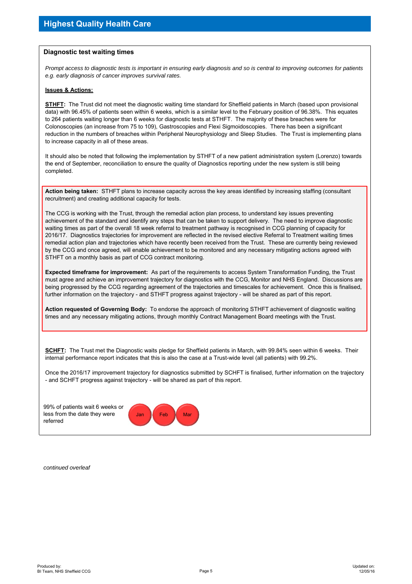#### **Diagnostic test waiting times**

*Prompt access to diagnostic tests is important in ensuring early diagnosis and so is central to improving outcomes for patients e.g. early diagnosis of cancer improves survival rates.* 

#### **Issues & Actions:**

**STHFT:** The Trust did not meet the diagnostic waiting time standard for Sheffield patients in March (based upon provisional data) with 96.45% of patients seen within 6 weeks, which is a similar level to the February position of 96.38%. This equates to 264 patients waiting longer than 6 weeks for diagnostic tests at STHFT. The majority of these breaches were for Colonoscopies (an increase from 75 to 109), Gastroscopies and Flexi Sigmoidoscopies. There has been a significant reduction in the numbers of breaches within Peripheral Neurophysiology and Sleep Studies. The Trust is implementing plans to increase capacity in all of these areas.

It should also be noted that following the implementation by STHFT of a new patient administration system (Lorenzo) towards the end of September, reconciliation to ensure the quality of Diagnostics reporting under the new system is still being completed.

**Action being taken:** STHFT plans to increase capacity across the key areas identified by increasing staffing (consultant recruitment) and creating additional capacity for tests.

The CCG is working with the Trust, through the remedial action plan process, to understand key issues preventing achievement of the standard and identify any steps that can be taken to support delivery. The need to improve diagnostic waiting times as part of the overall 18 week referral to treatment pathway is recognised in CCG planning of capacity for 2016/17. Diagnostics trajectories for improvement are reflected in the revised elective Referral to Treatment waiting times remedial action plan and trajectories which have recently been received from the Trust. These are currently being reviewed by the CCG and once agreed, will enable achievement to be monitored and any necessary mitigating actions agreed with STHFT on a monthly basis as part of CCG contract monitoring.

**Expected timeframe for improvement:** As part of the requirements to access System Transformation Funding, the Trust must agree and achieve an improvement trajectory for diagnostics with the CCG, Monitor and NHS England. Discussions are being progressed by the CCG regarding agreement of the trajectories and timescales for achievement. Once this is finalised, further information on the trajectory - and STHFT progress against trajectory - will be shared as part of this report.

**Action requested of Governing Body:** To endorse the approach of monitoring STHFT achievement of diagnostic waiting times and any necessary mitigating actions, through monthly Contract Management Board meetings with the Trust.

**SCHFT:** The Trust met the Diagnostic waits pledge for Sheffield patients in March, with 99.84% seen within 6 weeks. Their internal performance report indicates that this is also the case at a Trust-wide level (all patients) with 99.2%.

Once the 2016/17 improvement trajectory for diagnostics submitted by SCHFT is finalised, further information on the trajectory - and SCHFT progress against trajectory - will be shared as part of this report.

99% of patients wait 6 weeks or less from the date they were referred

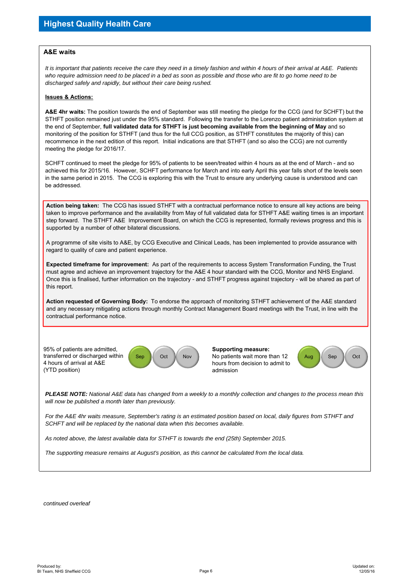#### **A&E waits**

*It is important that patients receive the care they need in a timely fashion and within 4 hours of their arrival at A&E. Patients who require admission need to be placed in a bed as soon as possible and those who are fit to go home need to be discharged safely and rapidly, but without their care being rushed.*

#### **Issues & Actions:**

**A&E 4hr waits:** The position towards the end of September was still meeting the pledge for the CCG (and for SCHFT) but the STHFT position remained just under the 95% standard. Following the transfer to the Lorenzo patient administration system at the end of September, **full validated data for STHFT is just becoming available from the beginning of May** and so monitoring of the position for STHFT (and thus for the full CCG position, as STHFT constitutes the majority of this) can recommence in the next edition of this report. Initial indications are that STHFT (and so also the CCG) are not currently meeting the pledge for 2016/17.

SCHFT continued to meet the pledge for 95% of patients to be seen/treated within 4 hours as at the end of March - and so achieved this for 2015/16. However, SCHFT performance for March and into early April this year falls short of the levels seen in the same period in 2015. The CCG is exploring this with the Trust to ensure any underlying cause is understood and can be addressed.

**Action being taken:** The CCG has issued STHFT with a contractual performance notice to ensure all key actions are being taken to improve performance and the availability from May of full validated data for STHFT A&E waiting times is an important step forward. The STHFT A&E Improvement Board, on which the CCG is represented, formally reviews progress and this is supported by a number of other bilateral discussions.

A programme of site visits to A&E, by CCG Executive and Clinical Leads, has been implemented to provide assurance with regard to quality of care and patient experience.

**Expected timeframe for improvement:** As part of the requirements to access System Transformation Funding, the Trust must agree and achieve an improvement trajectory for the A&E 4 hour standard with the CCG, Monitor and NHS England. Once this is finalised, further information on the trajectory - and STHFT progress against trajectory - will be shared as part of this report.

**Action requested of Governing Body:** To endorse the approach of monitoring STHFT achievement of the A&E standard and any necessary mitigating actions through monthly Contract Management Board meetings with the Trust, in line with the contractual performance notice.

95% of patients are admitted, transferred or discharged within 4 hours of arrival at A&E (YTD position)



**Supporting measure:** Sep | Oct | Nov | No patients wait more than 12 | Aug | Sep | Oct hours from decision to admit to admission

*PLEASE NOTE: National A&E data has changed from a weekly to a monthly collection and changes to the process mean this will now be published a month later than previously.*

*For the A&E 4hr waits measure, September's rating is an estimated position based on local, daily figures from STHFT and SCHFT and will be replaced by the national data when this becomes available.*

*As noted above, the latest available data for STHFT is towards the end (25th) September 2015.*

*The supporting measure remains at August's position, as this cannot be calculated from the local data.*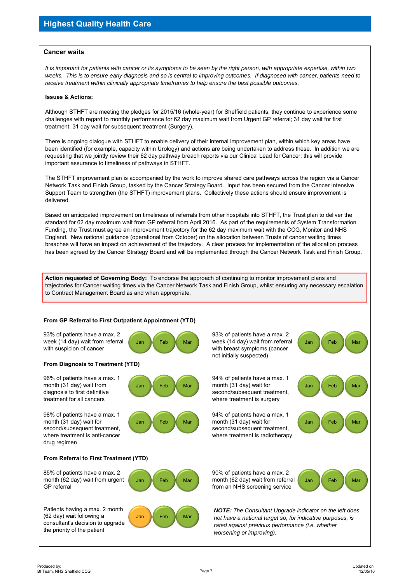#### **Cancer waits**

*It is important for patients with cancer or its symptoms to be seen by the right person, with appropriate expertise, within two weeks. This is to ensure early diagnosis and so is central to improving outcomes. If diagnosed with cancer, patients need to receive treatment within clinically appropriate timeframes to help ensure the best possible outcomes.*

#### **Issues & Actions:**

Although STHFT are meeting the pledges for 2015/16 (whole-year) for Sheffield patients, they continue to experience some challenges with regard to monthly performance for 62 day maximum wait from Urgent GP referral; 31 day wait for first treatment; 31 day wait for subsequent treatment (Surgery).

There is ongoing dialogue with STHFT to enable delivery of their internal improvement plan, within which key areas have been identified (for example, capacity within Urology) and actions are being undertaken to address these. In addition we are requesting that we jointly review their 62 day pathway breach reports via our Clinical Lead for Cancer: this will provide important assurance to timeliness of pathways in STHFT.

The STHFT improvement plan is accompanied by the work to improve shared care pathways across the region via a Cancer Network Task and Finish Group, tasked by the Cancer Strategy Board. Input has been secured from the Cancer Intensive Support Team to strengthen (the STHFT) improvement plans. Collectively these actions should ensure improvement is delivered.

Based on anticipated improvement on timeliness of referrals from other hospitals into STHFT, the Trust plan to deliver the standard for 62 day maximum wait from GP referral from April 2016. As part of the requirements of System Transformation Funding, the Trust must agree an improvement trajectory for the 62 day maximum wait with the CCG, Monitor and NHS England. New national guidance (operational from October) on the allocation between Trusts of cancer waiting times breaches will have an impact on achievement of the trajectory. A clear process for implementation of the allocation process has been agreed by the Cancer Strategy Board and will be implemented through the Cancer Network Task and Finish Group.

**Action requested of Governing Body:** To endorse the approach of continuing to monitor improvement plans and trajectories for Cancer waiting times via the Cancer Network Task and Finish Group, whilst ensuring any necessary escalation to Contract Management Board as and when appropriate.

#### **From GP Referral to First Outpatient Appointment (YTD)**

93% of patients have a max. 2 week (14 day) wait from referral with suspicion of cancer

#### **From Diagnosis to Treatment (YTD)**

96% of patients have a max. 1 month (31 day) wait from diagnosis to first definitive treatment for all cancers

98% of patients have a max. 1 month (31 day) wait for second/subsequent treatment, where treatment is anti-cancer drug regimen



93% of patients have a max. 2 Jan **Feb Mar week (14 day) wait from referral** Jan Feb Mar with breast symptoms (cancer not initially suspected)

where treatment is surgery



**From Referral to First Treatment (YTD)**



90% of patients have a max. 2 Jan | Feb | Mar | month (62 day) wait from referral Jan | Feb from an NHS screening service

> *NOTE: The Consultant Upgrade indicator on the left does not have a national target so, for indicative purposes, is rated against previous performance (i.e. whether worsening or improving).*

(62 day) wait following a

the priority of the patient

GP referral

Mar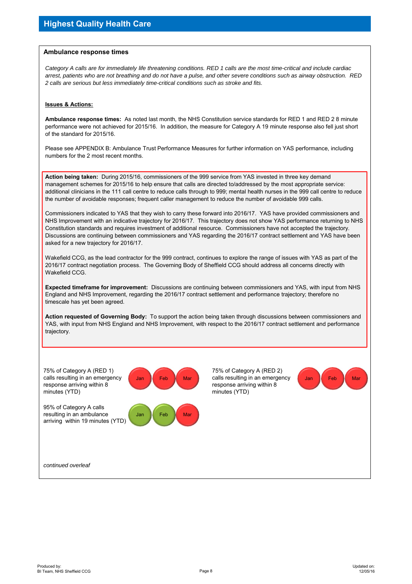#### **Ambulance response times**

*Category A calls are for immediately life threatening conditions. RED 1 calls are the most time-critical and include cardiac arrest, patients who are not breathing and do not have a pulse, and other severe conditions such as airway obstruction. RED 2 calls are serious but less immediately time-critical conditions such as stroke and fits.*

#### **Issues & Actions:**

**Ambulance response times:** As noted last month, the NHS Constitution service standards for RED 1 and RED 2 8 minute performance were not achieved for 2015/16. In addition, the measure for Category A 19 minute response also fell just short of the standard for 2015/16.

Please see APPENDIX B: Ambulance Trust Performance Measures for further information on YAS performance, including numbers for the 2 most recent months.

**Action being taken:** During 2015/16, commissioners of the 999 service from YAS invested in three key demand management schemes for 2015/16 to help ensure that calls are directed to/addressed by the most appropriate service: additional clinicians in the 111 call centre to reduce calls through to 999; mental health nurses in the 999 call centre to reduce the number of avoidable responses; frequent caller management to reduce the number of avoidable 999 calls.

Commissioners indicated to YAS that they wish to carry these forward into 2016/17. YAS have provided commissioners and NHS Improvement with an indicative trajectory for 2016/17. This trajectory does not show YAS performance returning to NHS Constitution standards and requires investment of additional resource. Commissioners have not accepted the trajectory. Discussions are continuing between commissioners and YAS regarding the 2016/17 contract settlement and YAS have been asked for a new trajectory for 2016/17.

Wakefield CCG, as the lead contractor for the 999 contract, continues to explore the range of issues with YAS as part of the 2016/17 contract negotiation process. The Governing Body of Sheffield CCG should address all concerns directly with Wakefield CCG.

**Expected timeframe for improvement:** Discussions are continuing between commissioners and YAS, with input from NHS England and NHS Improvement, regarding the 2016/17 contract settlement and performance trajectory; therefore no timescale has yet been agreed.

**Action requested of Governing Body:** To support the action being taken through discussions between commissioners and YAS, with input from NHS England and NHS Improvement, with respect to the 2016/17 contract settlement and performance trajectory.

75% of Category A (RED 1) calls resulting in an emergency response arriving within 8 minutes (YTD)

95% of Category A calls resulting in an ambulance arriving within 19 minutes (YTD)



75% of Category A (RED 2) Jan **Calls resulting in an emergency Calls Teb Mar** Mar response arriving within 8 minutes (YTD)

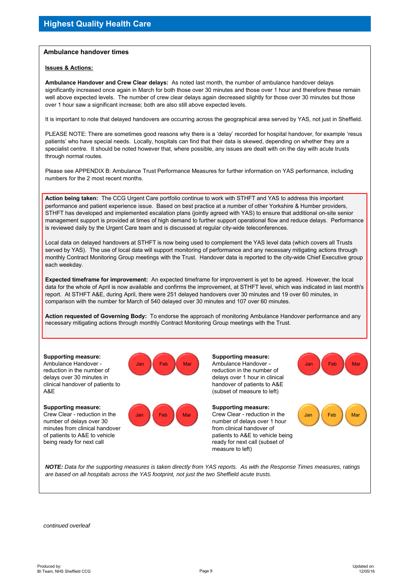#### **Ambulance handover times**

#### **Issues & Actions:**

**Ambulance Handover and Crew Clear delays:** As noted last month, the number of ambulance handover delays significantly increased once again in March for both those over 30 minutes and those over 1 hour and therefore these remain well above expected levels. The number of crew clear delays again decreased slightly for those over 30 minutes but those over 1 hour saw a significant increase; both are also still above expected levels.

It is important to note that delayed handovers are occurring across the geographical area served by YAS, not just in Sheffield.

PLEASE NOTE: There are sometimes good reasons why there is a 'delay' recorded for hospital handover, for example 'resus patients' who have special needs. Locally, hospitals can find that their data is skewed, depending on whether they are a specialist centre. It should be noted however that, where possible, any issues are dealt with on the day with acute trusts through normal routes.

Please see APPENDIX B: Ambulance Trust Performance Measures for further information on YAS performance, including numbers for the 2 most recent months.

**Action being taken:** The CCG Urgent Care portfolio continue to work with STHFT and YAS to address this important performance and patient experience issue. Based on best practice at a number of other Yorkshire & Humber providers, STHFT has developed and implemented escalation plans (jointly agreed with YAS) to ensure that additional on-site senior management support is provided at times of high demand to further support operational flow and reduce delays. Performance is reviewed daily by the Urgent Care team and is discussed at regular city-wide teleconferences.

Local data on delayed handovers at STHFT is now being used to complement the YAS level data (which covers all Trusts served by YAS). The use of local data will support monitoring of performance and any necessary mitigating actions through monthly Contract Monitoring Group meetings with the Trust. Handover data is reported to the city-wide Chief Executive group each weekday.

**Expected timeframe for improvement:** An expected timeframe for improvement is yet to be agreed. However, the local data for the whole of April is now available and confirms the improvement, at STHFT level, which was indicated in last month's report. At STHFT A&E, during April, there were 251 delayed handovers over 30 minutes and 19 over 60 minutes, in comparison with the number for March of 540 delayed over 30 minutes and 107 over 60 minutes.

**Action requested of Governing Body:** To endorse the approach of monitoring Ambulance Handover performance and any necessary mitigating actions through monthly Contract Monitoring Group meetings with the Trust.

**Supporting measure:** Ambulance Handover reduction in the number of delays over 30 minutes in clinical handover of patients to A&E

**Supporting measure:** Crew Clear - reduction in the number of delays over 30 minutes from clinical handover of patients to A&E to vehicle being ready for next call





**Supporting measure:** Jan **(Feb Mar )** Ambulance Handover - (Jan ) Feb Mar reduction in the number of delays over 1 hour in clinical handover of patients to A&E (subset of measure to left)

**Supporting measure:** Jan Feb Mar Crew Clear - reduction in the Jan Feb Mar number of delays over 1 hour from clinical handover of patients to A&E to vehicle being ready for next call (subset of measure to left)



*NOTE: Data for the supporting measures is taken directly from YAS reports. As with the Response Times measures, ratings are based on all hospitals across the YAS footprint, not just the two Sheffield acute trusts.*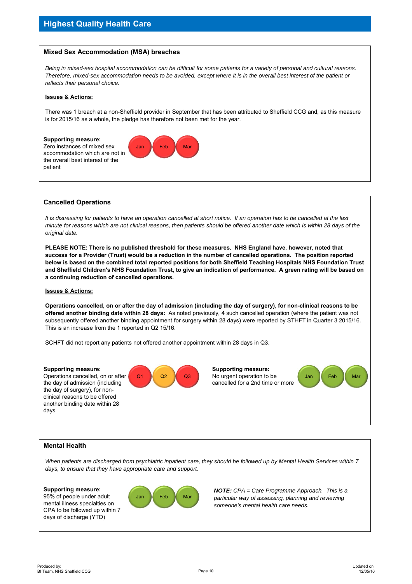

*Being in mixed-sex hospital accommodation can be difficult for some patients for a variety of personal and cultural reasons. Therefore, mixed-sex accommodation needs to be avoided, except where it is in the overall best interest of the patient or reflects their personal choice.*

#### **Issues & Actions:**

There was 1 breach at a non-Sheffield provider in September that has been attributed to Sheffield CCG and, as this measure is for 2015/16 as a whole, the pledge has therefore not been met for the year.



#### **Cancelled Operations**

*It is distressing for patients to have an operation cancelled at short notice. If an operation has to be cancelled at the last minute for reasons which are not clinical reasons, then patients should be offered another date which is within 28 days of the original date.*

**PLEASE NOTE: There is no published threshold for these measures. NHS England have, however, noted that success for a Provider (Trust) would be a reduction in the number of cancelled operations. The position reported below is based on the combined total reported positions for both Sheffield Teaching Hospitals NHS Foundation Trust and Sheffield Children's NHS Foundation Trust, to give an indication of performance. A green rating will be based on a continuing reduction of cancelled operations.**

#### **Issues & Actions:**

**Operations cancelled, on or after the day of admission (including the day of surgery), for non-clinical reasons to be offered another binding date within 28 days:** As noted previously, 4 such cancelled operation (where the patient was not subsequently offered another binding appointment for surgery within 28 days) were reported by STHFT in Quarter 3 2015/16. This is an increase from the 1 reported in Q2 15/16.

SCHFT did not report any patients not offered another appointment within 28 days in Q3.

#### **Supporting measure:**

Operations cancelled, on or after the day of admission (including the day of surgery), for nonclinical reasons to be offered another binding date within 28 days



**Supporting measure:** No urgent operation to be cancelled for a 2nd time or more



#### **Mental Health**

*When patients are discharged from psychiatric inpatient care, they should be followed up by Mental Health Services within 7 days, to ensure that they have appropriate care and support.*

#### **Supporting measure:**

95% of people under adult mental illness specialties on CPA to be followed up within 7 days of discharge (YTD)



*NOTE: CPA = Care Programme Approach. This is a particular way of assessing, planning and reviewing someone's mental health care needs.*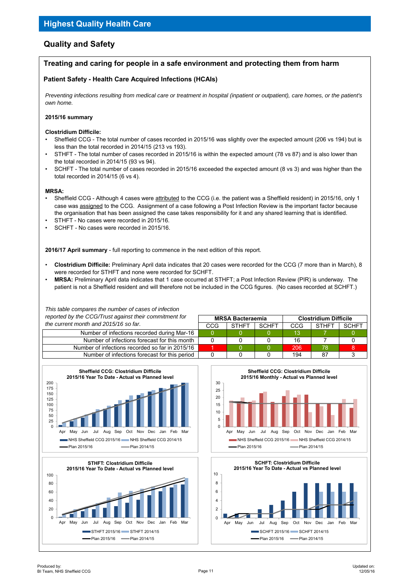## **Quality and Safety**

## **Treating and caring for people in a safe environment and protecting them from harm**

### **Patient Safety - Health Care Acquired Infections (HCAIs)**

*Preventing infections resulting from medical care or treatment in hospital (inpatient or outpatient), care homes, or the patient's own home.*

#### **2015/16 summary**

#### **Clostridium Difficile:**

- Sheffield CCG The total number of cases recorded in 2015/16 was slightly over the expected amount (206 vs 194) but is less than the total recorded in 2014/15 (213 vs 193).
- STHFT The total number of cases recorded in 2015/16 is within the expected amount (78 vs 87) and is also lower than the total recorded in 2014/15 (93 vs 94).
- SCHFT The total number of cases recorded in 2015/16 exceeded the expected amount (8 vs 3) and was higher than the total recorded in 2014/15 (6 vs 4).

#### **MRSA:**

- Sheffield CCG Although 4 cases were attributed to the CCG (i.e. the patient was a Sheffield resident) in 2015/16, only 1 case was assigned to the CCG. Assignment of a case following a Post Infection Review is the important factor because the organisation that has been assigned the case takes responsibility for it and any shared learning that is identified.
- STHFT No cases were recorded in 2015/16.
- SCHFT No cases were recorded in 2015/16.

**2016/17 April summary** - full reporting to commence in the next edition of this report.

- **Clostridium Difficile:** Preliminary April data indicates that 20 cases were recorded for the CCG (7 more than in March), 8 were recorded for STHFT and none were recorded for SCHFT.
- **MRSA:** Preliminary April data indicates that 1 case occurred at STHFT; a Post Infection Review (PIR) is underway. The patient is not a Sheffield resident and will therefore not be included in the CCG figures. (No cases recorded at SCHFT.)

| This table compares the number of cases of infection   |     |                                                         |              |     |              |       |  |  |
|--------------------------------------------------------|-----|---------------------------------------------------------|--------------|-----|--------------|-------|--|--|
| reported by the CCG/Trust against their commitment for |     | <b>Clostridium Difficile</b><br><b>MRSA Bacteraemia</b> |              |     |              |       |  |  |
| the current month and 2015/16 so far.                  | CCG | <b>STHFT</b>                                            | <b>SCHFT</b> | CCG | <b>STHET</b> | SCHET |  |  |
| Number of infections recorded during Mar-16            |     |                                                         |              | 13  |              |       |  |  |
| Number of infections forecast for this month           |     |                                                         |              | 16  |              |       |  |  |
| Number of infections recorded so far in 2015/16        |     |                                                         |              | 206 | 78           |       |  |  |
| Number of infections forecast for this period          |     |                                                         |              | 194 | 87           |       |  |  |





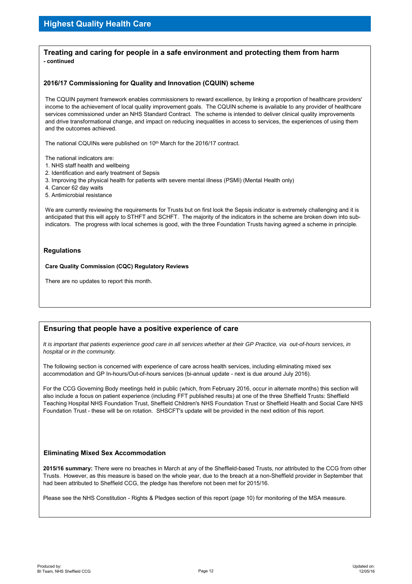#### **Treating and caring for people in a safe environment and protecting them from harm - continued**

#### **2016/17 Commissioning for Quality and Innovation (CQUIN) scheme**

The CQUIN payment framework enables commissioners to reward excellence, by linking a proportion of healthcare providers' income to the achievement of local quality improvement goals. The CQUIN scheme is available to any provider of healthcare services commissioned under an NHS Standard Contract. The scheme is intended to deliver clinical quality improvements and drive transformational change, and impact on reducing inequalities in access to services, the experiences of using them and the outcomes achieved.

The national CQUINs were published on 10<sup>th</sup> March for the 2016/17 contract.

The national indicators are:

- 1. NHS staff health and wellbeing
- 2. Identification and early treatment of Sepsis
- 3. Improving the physical health for patients with severe mental illness (PSMI) (Mental Health only)
- 4. Cancer 62 day waits
- 5. Antimicrobial resistance

We are currently reviewing the requirements for Trusts but on first look the Sepsis indicator is extremely challenging and it is anticipated that this will apply to STHFT and SCHFT. The majority of the indicators in the scheme are broken down into subindicators. The progress with local schemes is good, with the three Foundation Trusts having agreed a scheme in principle.

#### **Regulations**

**Care Quality Commission (CQC) Regulatory Reviews**

There are no updates to report this month.

#### **Ensuring that people have a positive experience of care**

*It is important that patients experience good care in all services whether at their GP Practice, via out-of-hours services, in hospital or in the community.*

The following section is concerned with experience of care across health services, including eliminating mixed sex accommodation and GP In-hours/Out-of-hours services (bi-annual update - next is due around July 2016).

For the CCG Governing Body meetings held in public (which, from February 2016, occur in alternate months) this section will also include a focus on patient experience (including FFT published results) at one of the three Sheffield Trusts: Sheffield Teaching Hospital NHS Foundation Trust, Sheffield Children's NHS Foundation Trust or Sheffield Health and Social Care NHS Foundation Trust - these will be on rotation. SHSCFT's update will be provided in the next edition of this report.

#### **Eliminating Mixed Sex Accommodation**

**2015/16 summary:** There were no breaches in March at any of the Sheffield-based Trusts, nor attributed to the CCG from other Trusts. However, as this measure is based on the whole year, due to the breach at a non-Sheffield provider in September that had been attributed to Sheffield CCG, the pledge has therefore not been met for 2015/16.

Please see the NHS Constitution - Rights & Pledges section of this report (page 10) for monitoring of the MSA measure.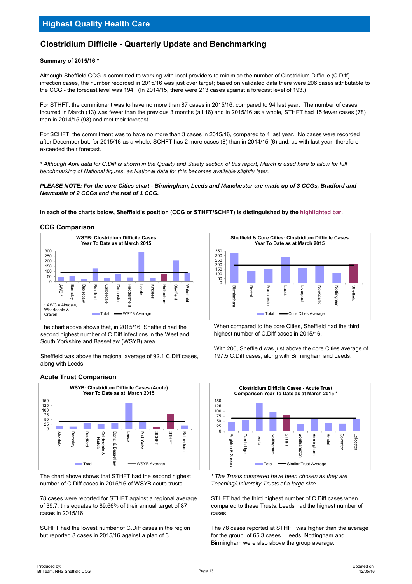## **Clostridium Difficile - Quarterly Update and Benchmarking**

#### **Summary of 2015/16 \***

Although Sheffield CCG is committed to working with local providers to minimise the number of Clostridium Difficile (C.Diff) infection cases, the number recorded in 2015/16 was just over target; based on validated data there were 206 cases attributable to the CCG - the forecast level was 194. (In 2014/15, there were 213 cases against a forecast level of 193.)

For STHFT, the commitment was to have no more than 87 cases in 2015/16, compared to 94 last year. The number of cases incurred in March (13) was fewer than the previous 3 months (all 16) and in 2015/16 as a whole, STHFT had 15 fewer cases (78) than in 2014/15 (93) and met their forecast.

For SCHFT, the commitment was to have no more than 3 cases in 2015/16, compared to 4 last year. No cases were recorded after December but, for 2015/16 as a whole, SCHFT has 2 more cases (8) than in 2014/15 (6) and, as with last year, therefore exceeded their forecast.

*\* Although April data for C.Diff is shown in the Quality and Safety section of this report, March is used here to allow for full benchmarking of National figures, as National data for this becomes available slightly later.*

*PLEASE NOTE: For the core Cities chart - Birmingham, Leeds and Manchester are made up of 3 CCGs, Bradford and Newcastle of 2 CCGs and the rest of 1 CCG.*

**In each of the charts below, Sheffield's position (CCG or STHFT/SCHFT) is distinguished by the highlighted bar.**

#### **CCG Comparison**



The chart above shows that, in 2015/16, Sheffield had the second highest number of C.Diff infections in the West and South Yorkshire and Bassetlaw (WSYB) area.

Sheffield was above the regional average of 92.1 C.Diff cases, along with Leeds.

#### **Acute Trust Comparison**



The chart above shows that STHFT had the second highest number of C.Diff cases in 2015/16 of WSYB acute trusts.

78 cases were reported for STHFT against a regional average of 39.7; this equates to 89.66% of their annual target of 87 cases in 2015/16.

SCHFT had the lowest number of C.Diff cases in the region but reported 8 cases in 2015/16 against a plan of 3.



When compared to the core Cities, Sheffield had the third highest number of C.Diff cases in 2015/16.

With 206. Sheffield was just above the core Cities average of 197.5 C.Diff cases, along with Birmingham and Leeds.



*\* The Trusts compared have been chosen as they are Teaching/University Trusts of a large size.*

STHFT had the third highest number of C.Diff cases when compared to these Trusts; Leeds had the highest number of cases.

The 78 cases reported at STHFT was higher than the average for the group, of 65.3 cases. Leeds, Nottingham and Birmingham were also above the group average.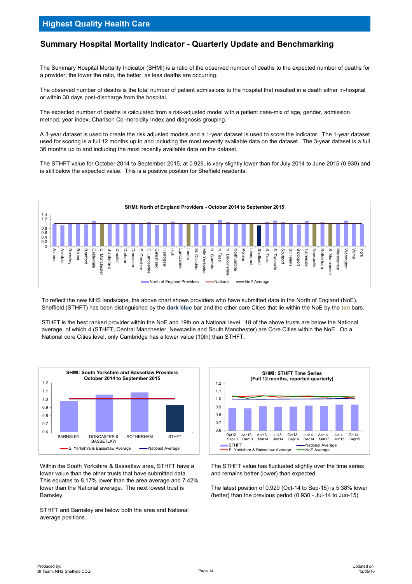## **Summary Hospital Mortality Indicator - Quarterly Update and Benchmarking**

The Summary Hospital Mortality Indicator (SHMI) is a ratio of the observed number of deaths to the expected number of deaths for a provider; the lower the ratio, the better, as less deaths are occurring.

The observed number of deaths is the total number of patient admissions to the hospital that resulted in a death either in-hospital or within 30 days post-discharge from the hospital.

The expected number of deaths is calculated from a risk-adjusted model with a patient case-mix of age, gender, admission method, year index, Charlson Co-morbidity Index and diagnosis grouping.

A 3-year dataset is used to create the risk adjusted models and a 1-year dataset is used to score the indicator. The 1-year dataset used for scoring is a full 12 months up to and including the most recently available data on the dataset. The 3-year dataset is a full 36 months up to and including the most recently available data on the dataset.

The STHFT value for October 2014 to September 2015, at 0.929, is very slightly lower than for July 2014 to June 2015 (0.930) and is still below the expected value. This is a positive position for Sheffield residents.



To reflect the new NHS landscape, the above chart shows providers who have submitted data in the North of England (NoE). Sheffield (STHFT) has been distinguished by the **dark blue** bar and the other core Cities that lie within the NoE by the **tan** bars.

STHFT is the best ranked provider within the NoE and 19th on a National level. 18 of the above trusts are below the National average, of which 4 (STHFT, Central Manchester, Newcastle and South Manchester) are Core Cities within the NoE. On a National core Cities level, only Cambridge has a lower value (10th) than STHFT.



Within the South Yorkshire & Bassetlaw area, STHFT have a lower value than the other trusts that have submitted data. This equates to 8.17% lower than the area average and 7.42% lower than the National average. The next lowest trust is Barnsley.

STHFT and Barnsley are below both the area and National average positions.



The STHFT value has fluctuated slightly over the time series and remains better (lower) than expected.

The latest position of 0.929 (Oct-14 to Sep-15) is 5.38% lower (better) than the previous period (0.930 - Jul-14 to Jun-15).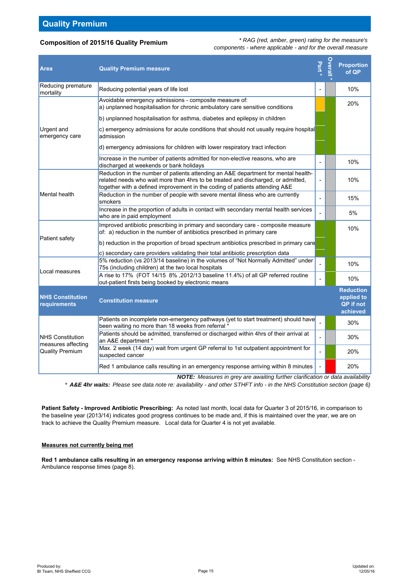### **Composition of 2015/16 Quality Premium**

*\* RAG (red, amber, green) rating for the measure's components - where applicable - and for the overall measure*

| <b>Area</b>                                   | <b>Quality Premium measure</b>                                                                                                                                                                                                                        | Part <sup>*</sup> | <b>Overal</b> | <b>Proportion</b><br>of QP                              |
|-----------------------------------------------|-------------------------------------------------------------------------------------------------------------------------------------------------------------------------------------------------------------------------------------------------------|-------------------|---------------|---------------------------------------------------------|
| Reducing premature<br>mortality               | Reducing potential years of life lost                                                                                                                                                                                                                 |                   |               | 10%                                                     |
|                                               | Avoidable emergency admissions - composite measure of:<br>a) unplanned hospitalisation for chronic ambulatory care sensitive conditions                                                                                                               |                   |               | 20%                                                     |
|                                               | b) unplanned hospitalisation for asthma, diabetes and epilepsy in children                                                                                                                                                                            |                   |               |                                                         |
| <b>Urgent</b> and<br>emergency care           | c) emergency admissions for acute conditions that should not usually require hospital<br>admission                                                                                                                                                    |                   |               |                                                         |
|                                               | d) emergency admissions for children with lower respiratory tract infection                                                                                                                                                                           |                   |               |                                                         |
|                                               | Increase in the number of patients admitted for non-elective reasons, who are<br>discharged at weekends or bank holidays                                                                                                                              |                   |               | 10%                                                     |
|                                               | Reduction in the number of patients attending an A&E department for mental health-<br>related needs who wait more than 4hrs to be treated and discharged, or admitted,<br>together with a defined improvement in the coding of patients attending A&E |                   |               | 10%                                                     |
| Mental health                                 | Reduction in the number of people with severe mental illness who are currently<br>smokers                                                                                                                                                             |                   |               | 15%                                                     |
|                                               | Increase in the proportion of adults in contact with secondary mental health services<br>who are in paid employment                                                                                                                                   |                   |               | 5%                                                      |
| Patient safety                                | Improved antibiotic prescribing in primary and secondary care - composite measure<br>of: a) reduction in the number of antibiotics prescribed in primary care                                                                                         |                   |               | 10%                                                     |
|                                               | b) reduction in the proportion of broad spectrum antibiotics prescribed in primary care                                                                                                                                                               |                   |               |                                                         |
|                                               | c) secondary care providers validating their total antibiotic prescription data                                                                                                                                                                       |                   |               |                                                         |
| Local measures                                | 5% reduction (vs 2013/14 baseline) in the volumes of "Not Normally Admitted" under<br>75s (including children) at the two local hospitals                                                                                                             |                   |               | 10%                                                     |
|                                               | A rise to 17% (FOT 14/15 8%, 2012/13 baseline 11.4%) of all GP referred routine<br>out-patient firsts being booked by electronic means                                                                                                                |                   |               | 10%                                                     |
| <b>NHS Constitution</b><br>requirements       | <b>Constitution measure</b>                                                                                                                                                                                                                           |                   |               | <b>Reduction</b><br>applied to<br>QP if not<br>achieved |
|                                               | Patients on incomplete non-emergency pathways (yet to start treatment) should have<br>been waiting no more than 18 weeks from referral *                                                                                                              |                   |               | 30%                                                     |
| <b>NHS Constitution</b><br>measures affecting | Patients should be admitted, transferred or discharged within 4hrs of their arrival at<br>an A&E department *                                                                                                                                         |                   |               | 30%                                                     |
| <b>Quality Premium</b>                        | Max. 2 week (14 day) wait from urgent GP referral to 1st outpatient appointment for<br>suspected cancer                                                                                                                                               |                   |               | 20%                                                     |
|                                               | Red 1 ambulance calls resulting in an emergency response arriving within 8 minutes                                                                                                                                                                    |                   |               | 20%                                                     |

*NOTE: Measures in grey are awaiting further clarification or data availability*

*\* A&E 4hr waits: Please see data note re: availability - and other STHFT info - in the NHS Constitution section (page 6)*

**Patient Safety - Improved Antibiotic Prescribing:** As noted last month, local data for Quarter 3 of 2015/16, in comparison to the baseline year (2013/14) indicates good progress continues to be made and, if this is maintained over the year, we are on track to achieve the Quality Premium measure. Local data for Quarter 4 is not yet available.

#### **Measures not currently being met**

**Red 1 ambulance calls resulting in an emergency response arriving within 8 minutes:** See NHS Constitution section - Ambulance response times (page 8).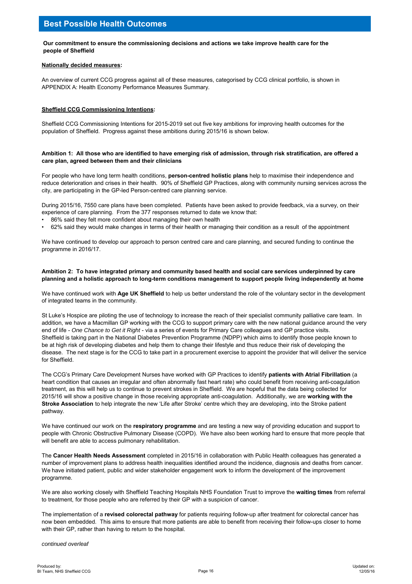#### **Our commitment to ensure the commissioning decisions and actions we take improve health care for the people of Sheffield**

#### **Nationally decided measures:**

An overview of current CCG progress against all of these measures, categorised by CCG clinical portfolio, is shown in APPENDIX A: Health Economy Performance Measures Summary.

#### **Sheffield CCG Commissioning Intentions:**

Sheffield CCG Commissioning Intentions for 2015-2019 set out five key ambitions for improving health outcomes for the population of Sheffield. Progress against these ambitions during 2015/16 is shown below.

#### **Ambition 1: All those who are identified to have emerging risk of admission, through risk stratification, are offered a care plan, agreed between them and their clinicians**

For people who have long term health conditions, **person-centred holistic plans** help to maximise their independence and reduce deterioration and crises in their health. 90% of Sheffield GP Practices, along with community nursing services across the city, are participating in the GP-led Person-centred care planning service.

During 2015/16, 7550 care plans have been completed. Patients have been asked to provide feedback, via a survey, on their experience of care planning. From the 377 responses returned to date we know that:

- 86% said they felt more confident about managing their own health
- 62% said they would make changes in terms of their health or managing their condition as a result of the appointment

We have continued to develop our approach to person centred care and care planning, and secured funding to continue the programme in 2016/17.

#### **Ambition 2: To have integrated primary and community based health and social care services underpinned by care planning and a holistic approach to long-term conditions management to support people living independently at home**

We have continued work with **Age UK Sheffield** to help us better understand the role of the voluntary sector in the development of integrated teams in the community.

St Luke's Hospice are piloting the use of technology to increase the reach of their specialist community palliative care team. In addition, we have a Macmillan GP working with the CCG to support primary care with the new national guidance around the very end of life - *One Chance to Get it Right* - via a series of events for Primary Care colleagues and GP practice visits. Sheffield is taking part in the National Diabetes Prevention Programme (NDPP) which aims to identify those people known to be at high risk of developing diabetes and help them to change their lifestyle and thus reduce their risk of developing the disease. The next stage is for the CCG to take part in a procurement exercise to appoint the provider that will deliver the service for Sheffield.

The CCG's Primary Care Development Nurses have worked with GP Practices to identify **patients with Atrial Fibrillation** (a heart condition that causes an irregular and often abnormally fast heart rate) who could benefit from receiving anti-coagulation treatment, as this will help us to continue to prevent strokes in Sheffield. We are hopeful that the data being collected for 2015/16 will show a positive change in those receiving appropriate anti-coagulation. Additionally, we are **working with the Stroke Association** to help integrate the new 'Life after Stroke' centre which they are developing, into the Stroke patient pathway.

We have continued our work on the **respiratory programme** and are testing a new way of providing education and support to people with Chronic Obstructive Pulmonary Disease (COPD). We have also been working hard to ensure that more people that will benefit are able to access pulmonary rehabilitation.

The **Cancer Health Needs Assessment** completed in 2015/16 in collaboration with Public Health colleagues has generated a number of improvement plans to address health inequalities identified around the incidence, diagnosis and deaths from cancer. We have initiated patient, public and wider stakeholder engagement work to inform the development of the improvement programme.

We are also working closely with Sheffield Teaching Hospitals NHS Foundation Trust to improve the **waiting times** from referral to treatment, for those people who are referred by their GP with a suspicion of cancer.

The implementation of a **revised colorectal pathway** for patients requiring follow-up after treatment for colorectal cancer has now been embedded. This aims to ensure that more patients are able to benefit from receiving their follow-ups closer to home with their GP, rather than having to return to the hospital.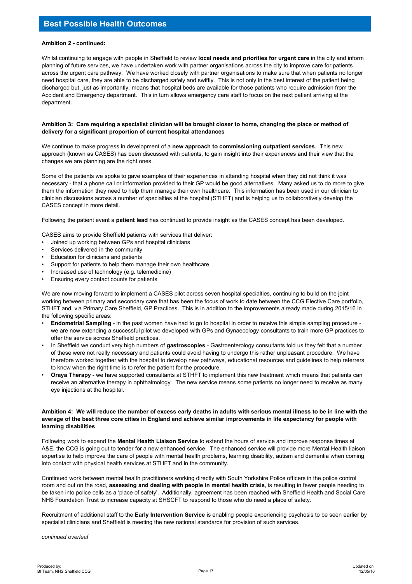## **Best Possible Health Outcomes**

#### **Ambition 2 - continued:**

Whilst continuing to engage with people in Sheffield to review **local needs and priorities for urgent care** in the city and inform planning of future services, we have undertaken work with partner organisations across the city to improve care for patients across the urgent care pathway. We have worked closely with partner organisations to make sure that when patients no longer need hospital care, they are able to be discharged safely and swiftly. This is not only in the best interest of the patient being discharged but, just as importantly, means that hospital beds are available for those patients who require admission from the Accident and Emergency department. This in turn allows emergency care staff to focus on the next patient arriving at the department.

#### **Ambition 3: Care requiring a specialist clinician will be brought closer to home, changing the place or method of delivery for a significant proportion of current hospital attendances**

We continue to make progress in development of a **new approach to commissioning outpatient services**. This new approach (known as CASES) has been discussed with patients, to gain insight into their experiences and their view that the changes we are planning are the right ones.

Some of the patients we spoke to gave examples of their experiences in attending hospital when they did not think it was necessary - that a phone call or information provided to their GP would be good alternatives. Many asked us to do more to give them the information they need to help them manage their own healthcare. This information has been used in our clinician to clinician discussions across a number of specialties at the hospital (STHFT) and is helping us to collaboratively develop the CASES concept in more detail.

Following the patient event a **patient lead** has continued to provide insight as the CASES concept has been developed.

CASES aims to provide Sheffield patients with services that deliver:

- Joined up working between GPs and hospital clinicians
- Services delivered in the community
- Education for clinicians and patients
- Support for patients to help them manage their own healthcare
- Increased use of technology (e.g. telemedicine)
- Ensuring every contact counts for patients

We are now moving forward to implement a CASES pilot across seven hospital specialties, continuing to build on the joint working between primary and secondary care that has been the focus of work to date between the CCG Elective Care portfolio, STHFT and, via Primary Care Sheffield, GP Practices. This is in addition to the improvements already made during 2015/16 in the following specific areas:

- **Endometrial Sampling** in the past women have had to go to hospital in order to receive this simple sampling procedure we are now extending a successful pilot we developed with GPs and Gynaecology consultants to train more GP practices to offer the service across Sheffield practices.
- In Sheffield we conduct very high numbers of **gastroscopies**  Gastroenterology consultants told us they felt that a number of these were not really necessary and patients could avoid having to undergo this rather unpleasant procedure. We have therefore worked together with the hospital to develop new pathways, educational resources and guidelines to help referrers to know when the right time is to refer the patient for the procedure.
- **Oraya Therapy** we have supported consultants at STHFT to implement this new treatment which means that patients can receive an alternative therapy in ophthalmology. The new service means some patients no longer need to receive as many eye injections at the hospital.

#### **Ambition 4: We will reduce the number of excess early deaths in adults with serious mental illness to be in line with the average of the best three core cities in England and achieve similar improvements in life expectancy for people with learning disabilities**

Following work to expand the **Mental Health Liaison Service** to extend the hours of service and improve response times at A&E, the CCG is going out to tender for a new enhanced service. The enhanced service will provide more Mental Health liaison expertise to help improve the care of people with mental health problems, learning disability, autism and dementia when coming into contact with physical health services at STHFT and in the community.

Continued work between mental health practitioners working directly with South Yorkshire Police officers in the police control room and out on the road, **assessing and dealing with people in mental health crisis**, is resulting in fewer people needing to be taken into police cells as a 'place of safety'. Additionally, agreement has been reached with Sheffield Health and Social Care NHS Foundation Trust to increase capacity at SHSCFT to respond to those who do need a place of safety.

Recruitment of additional staff to the **Early Intervention Service** is enabling people experiencing psychosis to be seen earlier by specialist clinicians and Sheffield is meeting the new national standards for provision of such services.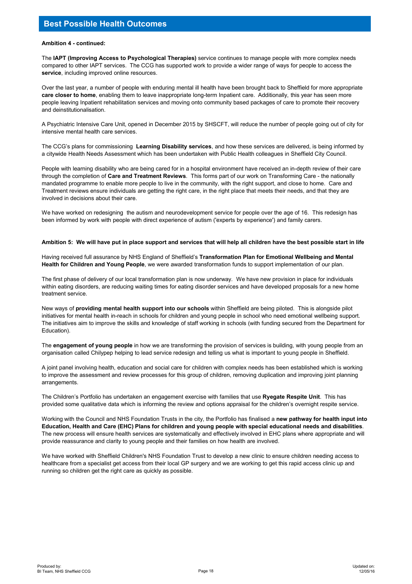#### **Ambition 4 - continued:**

The **IAPT (Improving Access to Psychological Therapies)** service continues to manage people with more complex needs compared to other IAPT services. The CCG has supported work to provide a wider range of ways for people to access the **service**, including improved online resources.

Over the last year, a number of people with enduring mental ill health have been brought back to Sheffield for more appropriate **care closer to home**, enabling them to leave inappropriate long-term Inpatient care. Additionally, this year has seen more people leaving Inpatient rehabilitation services and moving onto community based packages of care to promote their recovery and deinstitutionalisation.

A Psychiatric Intensive Care Unit, opened in December 2015 by SHSCFT, will reduce the number of people going out of city for intensive mental health care services.

The CCG's plans for commissioning **Learning Disability services**, and how these services are delivered, is being informed by a citywide Health Needs Assessment which has been undertaken with Public Health colleagues in Sheffield City Council.

People with learning disability who are being cared for in a hospital environment have received an in-depth review of their care through the completion of **Care and Treatment Reviews**. This forms part of our work on Transforming Care - the nationally mandated programme to enable more people to live in the community, with the right support, and close to home. Care and Treatment reviews ensure individuals are getting the right care, in the right place that meets their needs, and that they are involved in decisions about their care.

We have worked on redesigning the autism and neurodevelopment service for people over the age of 16. This redesign has been informed by work with people with direct experience of autism ('experts by experience') and family carers.

#### **Ambition 5: We will have put in place support and services that will help all children have the best possible start in life**

Having received full assurance by NHS England of Sheffield's **Transformation Plan for Emotional Wellbeing and Mental Health for Children and Young People**, we were awarded transformation funds to support implementation of our plan.

The first phase of delivery of our local transformation plan is now underway. We have new provision in place for individuals within eating disorders, are reducing waiting times for eating disorder services and have developed proposals for a new home treatment service.

New ways of **providing mental health support into our schools** within Sheffield are being piloted. This is alongside pilot initiatives for mental health in-reach in schools for children and young people in school who need emotional wellbeing support. The initiatives aim to improve the skills and knowledge of staff working in schools (with funding secured from the Department for Education).

The **engagement of young people** in how we are transforming the provision of services is building, with young people from an organisation called Chilypep helping to lead service redesign and telling us what is important to young people in Sheffield.

A joint panel involving health, education and social care for children with complex needs has been established which is working to improve the assessment and review processes for this group of children, removing duplication and improving joint planning arrangements.

The Children's Portfolio has undertaken an engagement exercise with families that use **Ryegate Respite Unit**. This has provided some qualitative data which is informing the review and options appraisal for the children's overnight respite service.

Working with the Council and NHS Foundation Trusts in the city, the Portfolio has finalised a **new pathway for health input into Education, Health and Care (EHC) Plans for children and young people with special educational needs and disabilities**. The new process will ensure health services are systematically and effectively involved in EHC plans where appropriate and will provide reassurance and clarity to young people and their families on how health are involved.

We have worked with Sheffield Children's NHS Foundation Trust to develop a new clinic to ensure children needing access to healthcare from a specialist get access from their local GP surgery and we are working to get this rapid access clinic up and running so children get the right care as quickly as possible.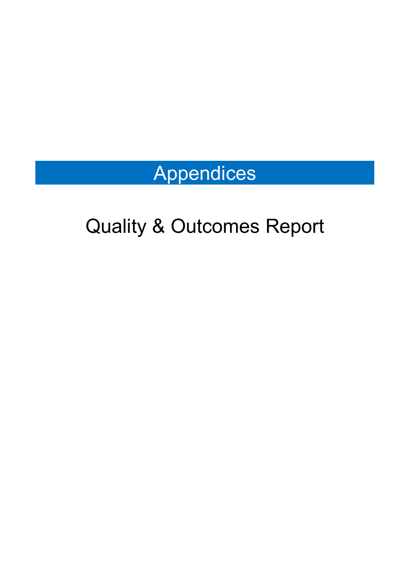# Appendices

# Quality & Outcomes Report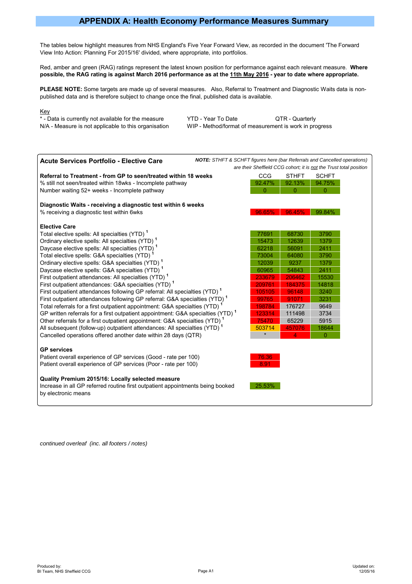## **APPENDIX A: Health Economy Performance Measures Summary**

The tables below highlight measures from NHS England's Five Year Forward View, as recorded in the document 'The Forward View Into Action: Planning For 2015/16' divided, where appropriate, into portfolios.

Red, amber and green (RAG) ratings represent the latest known position for performance against each relevant measure. **Where possible, the RAG rating is against March 2016 performance as at the 11th May 2016 - year to date where appropriate.**

**PLEASE NOTE:** Some targets are made up of several measures. Also, Referral to Treatment and Diagnostic Waits data is nonpublished data and is therefore subject to change once the final, published data is available.

#### Key

\* - Data is currently not available for the measure YTD - Year To Date QTR - Quarterly N/A - Measure is not applicable to this organisation WIP - Method/format of measurement is work in progress



*continued overleaf (inc. all footers / notes)*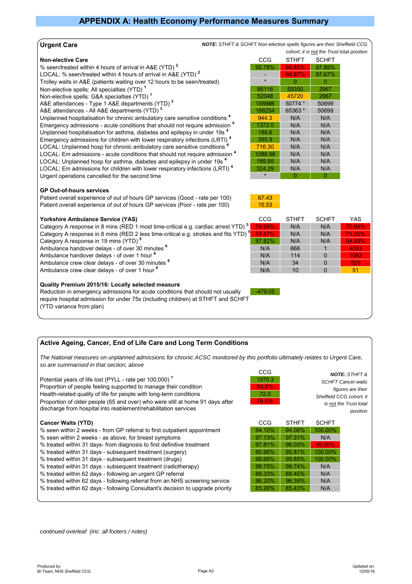#### **Urgent Care**

#### **Non-elective Care**

% seen/treated within 4 hours of arrival in A&E (YTD)<sup>2</sup>

LOCAL: % seen/treated within 4 hours of arrival in A&E (YTD)<sup>2</sup> Trolley waits in A&E (patients waiting over 12 hours to be seen/treated)

Non-elective spells: All specialties (YTD)<sup>1</sup>

Non-elective spells: G&A specialties (YTD)<sup>1</sup>

A&E attendances - Type 1 A&E departments (YTD)<sup>3</sup>

A&E attendances - All A&E departments (YTD)<sup>3</sup>

Unplanned hospitalisation for chronic ambulatory care sensitive conditions<sup>4</sup> Emergency admissions - acute conditions that should not require admission <sup>4</sup> Unplanned hospitalisation for asthma, diabetes and epilepsy in under 19s<sup>4</sup> Emergency admissions for children with lower respiratory infections (LRTI)<sup>4</sup> LOCAL: Unplanned hosp for chronic ambulatory care sensitive conditions LOCAL: Em admissions - acute conditions that should not require admission <sup>4</sup> LOCAL: Unplanned hosp for asthma, diabetes and epilepsy in under 19s<sup>4</sup> LOCAL: Em admissions for children with lower respiratory infections (LRTI)<sup>4</sup> Urgent operations cancelled for the second time

|  |  | <b>GP Out-of-hours services</b> |  |
|--|--|---------------------------------|--|
|--|--|---------------------------------|--|

Patient overall experience of out of hours GP services (Good - rate per 100) 67.43 Patient overall experience of out of hours GP services (Poor - rate per 100) 15.53

#### Yorkshire Ambulance Service (YAS)

Category A response in 8 mins (RED 1 most time-critical e.g. cardiac arrest YTD) Category A response in 8 mins (RED 2 less time-critical e.g. strokes and fits YTD) Category A response in 19 mins (YTD)<sup>5</sup>

Ambulance handover delays - of over 30 minutes <sup>6</sup> Ambulance handover delays - of over 1 hour <sup>6</sup>

Ambulance crew clear delays - of over 30 minutes <sup>6</sup>

Ambulance crew clear delays - of over 1 hour <sup>6</sup>

#### **Quality Premium 2015/16: Locally selected measure**

Reduction in emergency admissions for acute conditions that should not usually  $\sqrt{479.05}$ require hospital admission for under 75s (including children) at STHFT and SCHFT (YTD variance from plan)

#### **Active Ageing, Cancer, End of Life Care and Long Term Conditions**

*The National measures on unplanned admissions for chronic ACSC monitored by this portfolio ultimately relates to Urgent Care, so are summarised in that section, above*

|                                                                                | তত         |              |              | <b>NOTE: STHFT &amp;</b>  |
|--------------------------------------------------------------------------------|------------|--------------|--------------|---------------------------|
| Potential years of life lost (PYLL - rate per 100,000) <sup>7</sup>            | 1976.3     |              |              | <b>SCHFT Cancer waits</b> |
| Proportion of people feeling supported to manage their condition               | 64.6%      |              |              | figures are their         |
| Health-related quality of life for people with long-term conditions            | 72.0       |              |              | Sheffield CCG cohort; it  |
| Proportion of older people (65 and over) who were still at home 91 days after  | 76.5%      |              |              | is not the Trust total    |
| discharge from hospital into reablement/rehabilitation services                |            |              |              | position                  |
|                                                                                |            |              |              |                           |
| <b>Cancer Waits (YTD)</b>                                                      | <b>CCG</b> | <b>STHFT</b> | <b>SCHFT</b> |                           |
| % seen within 2 weeks - from GP referral to first outpatient appointment       | 94.10%     | 94.08%       | 100.00%      |                           |
| % seen within 2 weeks - as above, for breast symptoms                          | 97.13%     | 97.31%       | N/A          |                           |
| % treated within 31 days-from diagnosis to first definitive treatment          | 97.81%     | 98.03%       | 95.00%       |                           |
| % treated within 31 days - subsequent treatment (surgery)                      | 95.96%     | 95.81%       | 100.00%      |                           |
| % treated within 31 days - subsequent treatment (drugs)                        | 99.86%     | 99.85%       | 100.00%      |                           |
| % treated within 31 days - subsequent treatment (radiotherapy)                 | 99.75%     | 99.74%       | N/A          |                           |
| % treated within 62 days - following an urgent GP referral                     | 88.33%     | 88.45%       | N/A          |                           |
| % treated within 62 days - following referral from an NHS screening service    | 96.20%     | 96.39%       | N/A          |                           |
| % treated within 62 days - following Consultant's decision to upgrade priority | 85.26%     | 85.43%       | N/A          |                           |
|                                                                                |            |              |              |                           |

*NOTE: STHFT & SCHFT Non-elective spells figures are their Sheffield CCG cohort; it is not the Trust total position*

| CCG     | STHFT   | SCHFT  |
|---------|---------|--------|
| 95.78%  | 94.85%  | 97.89% |
|         | 94.87%  | 97.67% |
| $\star$ | 0       | 0      |
| 66116   | 59350   | 2967   |
| 52048   | 45720   | 2967   |
| 158986  | 50774 * | 50699  |
| 188254  | 65363 * | 50699  |
| 944.3   | N/A     | N/A    |
| 1372.0  | N/A     | N/A    |
| 188.6   | N/A     | N/A    |
| 395.9   | N/A     | N/A    |
| 716.30  | N/A     | N/A    |
| 1086.96 | N/A     | N/A    |
| 189.85  | N/A     | N/A    |
| 324.29  | N/A     | N/A    |
|         | n       |        |

 $\sim$ 

|   | CCG    | <b>STHFT</b> | <b>SCHFT</b> | YAS    |
|---|--------|--------------|--------------|--------|
| 5 | 74.94% | N/A          | N/A          | 70.94% |
| 5 | 74.47% | N/A          | N/A          | 71.35% |
|   | 97.82% | N/A          | N/A          | 94.99% |
|   | N/A    | 666          |              | 4033   |
|   | N/A    | 114          | n            | 1082   |
|   | N/A    | 34           | ŋ            | 529    |
|   | N/A    | 10           |              | 51     |
|   |        |              |              |        |

*continued overleaf (inc. all footers / notes)*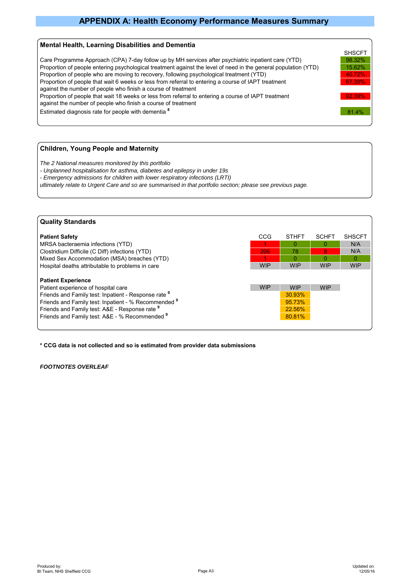## **APPENDIX A: Health Economy Performance Measures Summary**

#### **Mental Health, Learning Disabilities and Dementia**



### **Children, Young People and Maternity**

*The 2 National measures monitored by this portfolio*

- *Unplanned hospitalisation for asthma, diabetes and epilepsy in under 19s*
- *Emergency admissions for children with lower respiratory infections (LRTI)*

*ultimately relate to Urgent Care and so are summarised in that portfolio section; please see previous page.*

| <b>Quality Standards</b>                                                                                                                                                                                                                                                             |            |                                                    |              |               |
|--------------------------------------------------------------------------------------------------------------------------------------------------------------------------------------------------------------------------------------------------------------------------------------|------------|----------------------------------------------------|--------------|---------------|
| <b>Patient Safety</b>                                                                                                                                                                                                                                                                | CCG        | <b>STHFT</b>                                       | <b>SCHFT</b> | <b>SHSCFT</b> |
| MRSA bacteraemia infections (YTD)                                                                                                                                                                                                                                                    |            | 0                                                  | 0            | N/A           |
| Clostridium Difficile (C Diff) infections (YTD)                                                                                                                                                                                                                                      | 206        | 78                                                 | 8            | N/A           |
| Mixed Sex Accommodation (MSA) breaches (YTD)                                                                                                                                                                                                                                         |            | $\Omega$                                           | O            | O             |
| Hospital deaths attributable to problems in care                                                                                                                                                                                                                                     | <b>WIP</b> | <b>WIP</b>                                         | <b>WIP</b>   | <b>WIP</b>    |
| <b>Patient Experience</b><br>Patient experience of hospital care<br>Friends and Family test: Inpatient - Response rate 9<br>Friends and Family test: Inpatient - % Recommended 9<br>Friends and Family test: A&E - Response rate 9<br>Friends and Family test: A&E - % Recommended 9 | <b>WIP</b> | <b>WIP</b><br>30.93%<br>95.73%<br>22.56%<br>80.81% | <b>WIP</b>   |               |

**\* CCG data is not collected and so is estimated from provider data submissions**

#### *FOOTNOTES OVERLEAF*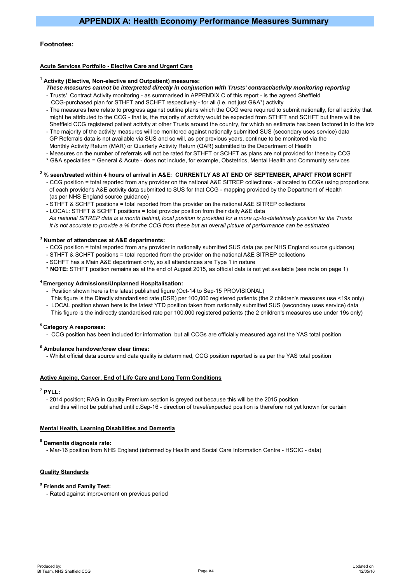#### **Footnotes:**

#### **Acute Services Portfolio - Elective Care and Urgent Care**

#### **1 Activity (Elective, Non-elective and Outpatient) measures:**

- *These measures cannot be interpreted directly in conjunction with Trusts' contract/activity monitoring reporting*
- Trusts' Contract Activity monitoring as summarised in APPENDIX C of this report is the agreed Sheffield
- CCG-purchased plan for STHFT and SCHFT respectively for all (i.e. not just G&A\*) activity
- The measures here relate to progress against outline plans which the CCG were required to submit nationally, for all activity that might be attributed to the CCG - that is, the majority of activity would be expected from STHFT and SCHFT but there will be Sheffield CCG registered patient activity at other Trusts around the country, for which an estimate has been factored in to the tota
- The majority of the activity measures will be monitored against nationally submitted SUS (secondary uses service) data GP Referrals data is not available via SUS and so will, as per previous years, continue to be monitored via the Monthly Activity Return (MAR) or Quarterly Activity Return (QAR) submitted to the Department of Health
- Measures on the number of referrals will not be rated for STHFT or SCHFT as plans are not provided for these by CCG
- \* G&A specialties = General & Acute does not include, for example, Obstetrics, Mental Health and Community services

#### **2 % seen/treated within 4 hours of arrival in A&E: CURRENTLY AS AT END OF SEPTEMBER, APART FROM SCHFT**

- CCG position = total reported from any provider on the national A&E SITREP collections allocated to CCGs using proportions of each provider's A&E activity data submitted to SUS for that CCG - mapping provided by the Department of Health (as per NHS England source guidance)
- STHFT & SCHFT positions = total reported from the provider on the national A&E SITREP collections
- LOCAL: STHFT & SCHFT positions = total provider position from their daily A&E data  *As national SITREP data is a month behind, local position is provided for a more up-to-date/timely position for the Trusts It is not accurate to provide a % for the CCG from these but an overall picture of performance can be estimated*

#### **3 Number of attendances at A&E departments:**

- CCG position = total reported from any provider in nationally submitted SUS data (as per NHS England source guidance)
- STHFT & SCHFT positions = total reported from the provider on the national A&E SITREP collections
- SCHFT has a Main A&E department only, so all attendances are Type 1 in nature
- \* **NOTE:** STHFT position remains as at the end of August 2015, as official data is not yet available (see note on page 1)

#### **4 Emergency Admissions/Unplanned Hospitalisation:**

- Position shown here is the latest published figure (Oct-14 to Sep-15 PROVISIONAL)
- This figure is the Directly standardised rate (DSR) per 100,000 registered patients (the 2 children's measures use <19s only) - LOCAL position shown here is the latest YTD position taken from nationally submitted SUS (secondary uses service) data
- This figure is the indirectly standardised rate per 100,000 registered patients (the 2 children's measures use under 19s only)

#### **5 Category A responses:**

- CCG position has been included for information, but all CCGs are officially measured against the YAS total position

#### **6 Ambulance handover/crew clear times:**

- Whilst official data source and data quality is determined, CCG position reported is as per the YAS total position

#### **Active Ageing, Cancer, End of Life Care and Long Term Conditions**

**7 PYLL:**

 - 2014 position; RAG in Quality Premium section is greyed out because this will be the 2015 position and this will not be published until c.Sep-16 - direction of travel/expected position is therefore not yet known for certain

#### **Mental Health, Learning Disabilities and Dementia**

#### **8 Dementia diagnosis rate:**

- Mar-16 position from NHS England (informed by Health and Social Care Information Centre - HSCIC - data)

#### **Quality Standards**

#### **9 Friends and Family Test:**

- Rated against improvement on previous period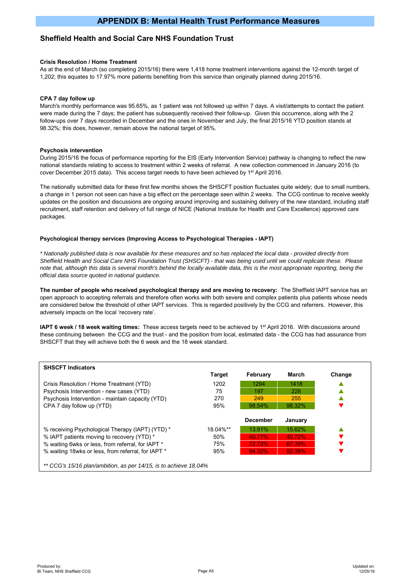## **Sheffield Health and Social Care NHS Foundation Trust**

#### **Crisis Resolution / Home Treatment**

As at the end of March (so completing 2015/16) there were 1,418 home treatment interventions against the 12-month target of 1,202; this equates to 17.97% more patients benefiting from this service than originally planned during 2015/16.

#### **CPA 7 day follow up**

March's monthly performance was 95.65%, as 1 patient was not followed up within 7 days. A visit/attempts to contact the patient were made during the 7 days; the patient has subsequently received their follow-up. Given this occurrence, along with the 2 follow-ups over 7 days recorded in December and the ones in November and July, the final 2015/16 YTD position stands at 98.32%; this does, however, remain above the national target of 95%.

#### **Psychosis intervention**

During 2015/16 the focus of performance reporting for the EIS (Early Intervention Service) pathway is changing to reflect the new national standards relating to access to treatment within 2 weeks of referral. A new collection commenced in January 2016 (to cover December 2015 data). This access target needs to have been achieved by 1<sup>st</sup> April 2016.

The nationally submitted data for these first few months shows the SHSCFT position fluctuates quite widely; due to small numbers, a change in 1 person not seen can have a big effect on the percentage seen within 2 weeks. The CCG continue to receive weekly updates on the position and discussions are ongoing around improving and sustaining delivery of the new standard, including staff recruitment, staff retention and delivery of full range of NICE (National Institute for Health and Care Excellence) approved care packages.

#### **Psychological therapy services (Improving Access to Psychological Therapies - IAPT)**

*\* Nationally published data is now available for these measures and so has replaced the local data - provided directly from Sheffield Health and Social Care NHS Foundation Trust (SHSCFT) - that was being used until we could replicate these. Please note that, although this data is several month's behind the locally available data, this is the most appropriate reporting, being the official data source quoted in national guidance.*

**The number of people who received psychological therapy and are moving to recovery:** The Sheffield IAPT service has an open approach to accepting referrals and therefore often works with both severe and complex patients plus patients whose needs are considered below the threshold of other IAPT services. This is regarded positively by the CCG and referrers. However, this adversely impacts on the local 'recovery rate'.

**IAPT 6 week / 18 week waiting times:** These access targets need to be achieved by 1<sup>st</sup> April 2016. With discussions around these continuing between the CCG and the trust - and the position from local, estimated data - the CCG has had assurance from SHSCFT that they will achieve both the 6 week and the 18 week standard.

| <b>SHSCFT Indicators</b>                           |               |                 |         |        |
|----------------------------------------------------|---------------|-----------------|---------|--------|
|                                                    | <b>Target</b> | February        | March   | Change |
| Crisis Resolution / Home Treatment (YTD)           | 1202          | 1294            | 1418    |        |
| Psychosis Intervention - new cases (YTD)           | 75            | 197             | 228     |        |
| Psychosis Intervention - maintain capacity (YTD)   | 270           | 249             | 255     |        |
| CPA 7 day follow up (YTD)                          | 95%           | 98.54%          | 98.32%  |        |
|                                                    |               |                 |         |        |
|                                                    |               |                 |         |        |
|                                                    |               | <b>December</b> | January |        |
| % receiving Psychological Therapy (IAPT) (YTD) *   | 18.04%**      | 13.91%          | 15.62%  |        |
| % IAPT patients moving to recovery (YTD) *         | 50%           | 40.77%          | 40.72%  |        |
| % waiting 6wks or less, from referral, for IAPT *  | 75%           | 72.73%          | 67.39%  |        |
| % waiting 18wks or less, from referral, for IAPT * | 95%           | 94.32%          | 92.39%  |        |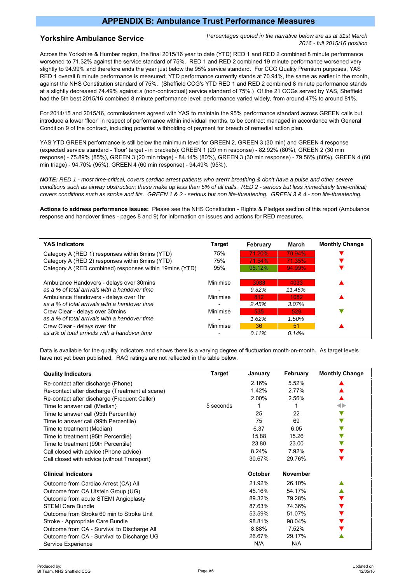## **APPENDIX B: Ambulance Trust Performance Measures**

#### **Yorkshire Ambulance Service**

*Percentages quoted in the narrative below are as at 31st March 2016 - full 2015/16 position*

Across the Yorkshire & Humber region, the final 2015/16 year to date (YTD) RED 1 and RED 2 combined 8 minute performance worsened to 71.32% against the service standard of 75%. RED 1 and RED 2 combined 19 minute performance worsened very slightly to 94.99% and therefore ends the year just below the 95% service standard. For CCG Quality Premium purposes, YAS RED 1 overall 8 minute performance is measured; YTD performance currently stands at 70.94%, the same as earlier in the month, against the NHS Constitution standard of 75%. (Sheffield CCG's YTD RED 1 and RED 2 combined 8 minute performance stands at a slightly decreased 74.49% against a (non-contractual) service standard of 75%.) Of the 21 CCGs served by YAS, Sheffield had the 5th best 2015/16 combined 8 minute performance level; performance varied widely, from around 47% to around 81%.

For 2014/15 and 2015/16, commissioners agreed with YAS to maintain the 95% performance standard across GREEN calls but introduce a lower 'floor' in respect of performance within individual months, to be contract managed in accordance with General Condition 9 of the contract, including potential withholding of payment for breach of remedial action plan.

YAS YTD GREEN performance is still below the minimum level for GREEN 2, GREEN 3 (30 min) and GREEN 4 response (expected service standard - 'floor' target - in brackets): GREEN 1 (20 min response) - 82.92% (80%), GREEN 2 (30 min response) - 75.89% (85%), GREEN 3 (20 min triage) - 84.14% (80%), GREEN 3 (30 min response) - 79.56% (80%), GREEN 4 (60 min triage) - 94.70% (95%), GREEN 4 (60 min response) - 94.49% (95%).

*NOTE: RED 1 - most time-critical, covers cardiac arrest patients who aren't breathing & don't have a pulse and other severe conditions such as airway obstruction; these make up less than 5% of all calls. RED 2 - serious but less immediately time-critical; covers conditions such as stroke and fits. GREEN 1 & 2 - serious but non life-threatening. GREEN 3 & 4 - non life-threatening.*

**Actions to address performance issues:** Please see the NHS Constitution - Rights & Pledges section of this report (Ambulance response and handover times - pages 8 and 9) for information on issues and actions for RED measures.

| <b>YAS Indicators</b>                                   | <b>Target</b> | February | March  | <b>Monthly Change</b> |
|---------------------------------------------------------|---------------|----------|--------|-----------------------|
| Category A (RED 1) responses within 8 mins (YTD)        | 75%           | 71.20%   | 70.94% |                       |
| Category A (RED 2) responses within 8mins (YTD)         | 75%           | 71.54%   | 71.35% |                       |
| Category A (RED combined) responses within 19mins (YTD) | 95%           | 95.12%   | 94.99% |                       |
| Ambulance Handovers - delays over 30 mins               | Minimise      | 3088     | 4033   |                       |
| as a % of total arrivals with a handover time           |               | $9.32\%$ | 11.46% |                       |
| Ambulance Handovers - delays over 1hr                   | Minimise      | 812      | 1082   |                       |
| as a % of total arrivals with a handover time           |               | 2.45%    | 3.07%  |                       |
| Crew Clear - delays over 30 mins                        | Minimise      | 535      | 529    |                       |
| as a % of total arrivals with a handover time           |               | 1.62%    | 1.50%  |                       |
| Crew Clear - delays over 1hr                            | Minimise      | 36       | 51     |                       |
| as a% of total arrivals with a handover time            |               | $0.11\%$ | 0.14%  |                       |

Data is available for the quality indicators and shows there is a varying degree of fluctuation month-on-month. As target levels have not yet been published, RAG ratings are not reflected in the table below.

| <b>Quality Indicators</b>                       | Target    | January | February        | <b>Monthly Change</b> |
|-------------------------------------------------|-----------|---------|-----------------|-----------------------|
| Re-contact after discharge (Phone)              |           | 2.16%   | 5.52%           |                       |
| Re-contact after discharge (Treatment at scene) |           | 1.42%   | 2.77%           |                       |
| Re-contact after discharge (Frequent Caller)    |           | 2.00%   | 2.56%           |                       |
| Time to answer call (Median)                    | 5 seconds |         |                 | 0                     |
| Time to answer call (95th Percentile)           |           | 25      | 22              |                       |
| Time to answer call (99th Percentile)           |           | 75      | 69              |                       |
| Time to treatment (Median)                      |           | 6.37    | 6.05            |                       |
| Time to treatment (95th Percentile)             |           | 15.88   | 15.26           |                       |
| Time to treatment (99th Percentile)             |           | 23.80   | 23.00           |                       |
| Call closed with advice (Phone advice)          |           | 8.24%   | 7.92%           |                       |
| Call closed with advice (without Transport)     |           | 30.67%  | 29.76%          |                       |
| <b>Clinical Indicators</b>                      |           | October | <b>November</b> |                       |
| Outcome from Cardiac Arrest (CA) All            |           | 21.92%  | 26.10%          |                       |
| Outcome from CA Utstein Group (UG)              |           | 45.16%  | 54.17%          |                       |
| Outcome from acute STEMI Angioplasty            |           | 89.32%  | 79.28%          |                       |
| <b>STEMI Care Bundle</b>                        |           | 87.63%  | 74.36%          |                       |
| Outcome from Stroke 60 min to Stroke Unit       |           | 53.59%  | 51.07%          |                       |
| Stroke - Appropriate Care Bundle                |           | 98.81%  | 98.04%          |                       |
| Outcome from CA - Survival to Discharge All     |           | 8.88%   | 7.52%           |                       |
| Outcome from CA - Survival to Discharge UG      |           | 26.67%  | 29.17%          |                       |
| Service Experience                              |           | N/A     | N/A             |                       |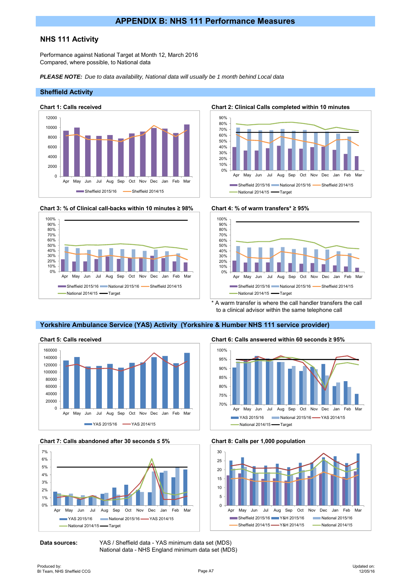## **NHS 111 Activity**

Performance against National Target at Month 12, March 2016 Compared, where possible, to National data

*PLEASE NOTE: Due to data availability, National data will usually be 1 month behind Local data*

#### **Sheffield Activity**



**Chart 3: % of Clinical call-backs within 10 minutes ≥ 98% Chart 4: % of warm transfers\* ≥ 95%**



**Chart 1: Calls received Chart 2: Clinical Calls completed within 10 minutes**





A warm transfer is where the call handler transfers the call to a clinical advisor within the same telephone call

## **Yorkshire Ambulance Service (YAS) Activity (Yorkshire & Humber NHS 111 service provider)**







**Data sources:** YAS / Sheffield data - YAS minimum data set (MDS) National data - NHS England minimum data set (MDS)





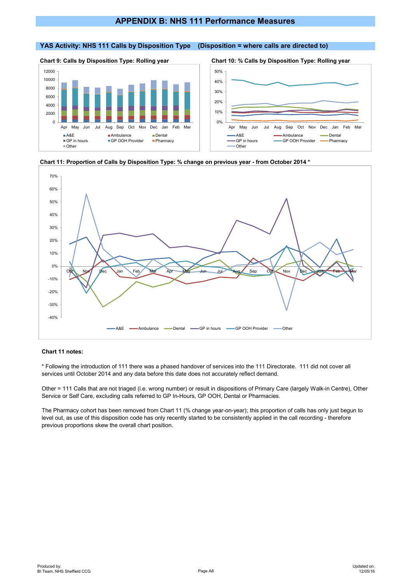## **APPENDIX B: NHS 111 Performance Measures**

#### **YAS Activity: NHS 111 Calls by Disposition Type (Disposition = where calls are directed to)**





**Chart 9: Calls by Disposition Type: Rolling year Chart 10: % Calls by Disposition Type: Rolling year**







#### **Chart 11 notes:**

\* Following the introduction of 111 there was a phased handover of services into the 111 Directorate. 111 did not cover all services until October 2014 and any data before this date does not accurately reflect demand.

Other = 111 Calls that are not triaged (i.e. wrong number) or result in dispositions of Primary Care (largely Walk-in Centre), Other Service or Self Care, excluding calls referred to GP In-Hours, GP OOH, Dental or Pharmacies.

The Pharmacy cohort has been removed from Chart 11 (% change year-on-year); this proportion of calls has only just begun to level out, as use of this disposition code has only recently started to be consistently applied in the call recording - therefore previous proportions skew the overall chart position.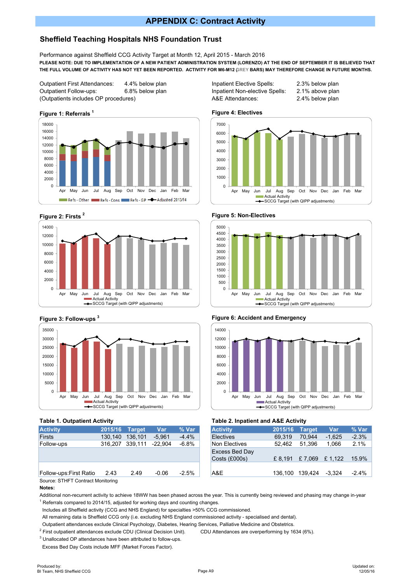## **APPENDIX C: Contract Activity**

## **Sheffield Teaching Hospitals NHS Foundation Trust**

Performance against Sheffield CCG Activity Target at Month 12, April 2015 - March 2016 **PLEASE NOTE: DUE TO IMPLEMENTATION OF A NEW PATIENT ADMINISTRATION SYSTEM (LORENZO) AT THE END OF SEPTEMBER IT IS BELIEVED THAT THE FULL VOLUME OF ACTIVITY HAS NOT YET BEEN REPORTED. ACTIVITY FOR M6-M12 (GREY BARS) MAY THEREFORE CHANGE IN FUTURE MONTHS.**

Outpatient First Attendances: 4.4% below plan Inpatient Elective Spells: 2.3% below plan Outpatient Follow-ups: 6.8% below plan Inpatient Non-elective Spells: 2.1% above plan (Outpatients includes OP procedures) A&E Attendances: 2.4% below plan











#### **Table 1. Outpatient Activity**

| <b>Activity</b>                   |         | 2015/16 Target  | Var      | % Var   |
|-----------------------------------|---------|-----------------|----------|---------|
| Firsts                            | 130.140 | 136.101         | $-5.961$ | $-4.4%$ |
| Follow-ups                        |         | 316,207 339,111 | -22.904  | $-6.8%$ |
|                                   |         |                 |          |         |
| Follow-ups: First Ratio           | 2.43    | 2.49            | $-0.06$  | $-2.5%$ |
| Source: STHFT Contract Monitoring |         |                 |          |         |

**Notes:**

Additional non-recurrent activity to achieve 18WW has been phased across the year. This is currently being reviewed and phasing may change in-year  $1$  Referrals compared to 2014/15, adjusted for working days and counting changes.

Includes all Sheffield activity (CCG and NHS England) for specialties >50% CCG commissioned.

All remaining data is Sheffield CCG only (i.e. excluding NHS England commissioned activity - specialised and dental).

Outpatient attendances exclude Clinical Psychology, Diabetes, Hearing Services, Palliative Medicine and Obstetrics.

<sup>2</sup> First outpatient attendances exclude CDU (Clinical Decision Unit). CDU Attendances are overperforming by 1634 (6%).

 $3$  Unallocated OP attendances have been attributed to follow-ups.

Excess Bed Day Costs include MFF (Market Forces Factor).













| <b>Activity</b>                 | 2015/16 | <b>Target</b> | Var      | % Var   |  |  |  |  |
|---------------------------------|---------|---------------|----------|---------|--|--|--|--|
| Electives                       | 69,319  | 70.944        | $-1,625$ | $-2.3%$ |  |  |  |  |
| Non Electives                   | 52,462  | 51.396        | 1,066    | 2.1%    |  |  |  |  |
| Excess Bed Day<br>Costs (£000s) | £ 8.191 | £7,069 £1,122 |          | 15.9%   |  |  |  |  |
| A&E                             | 136.100 | 139.424       | $-3.324$ | $-2.4%$ |  |  |  |  |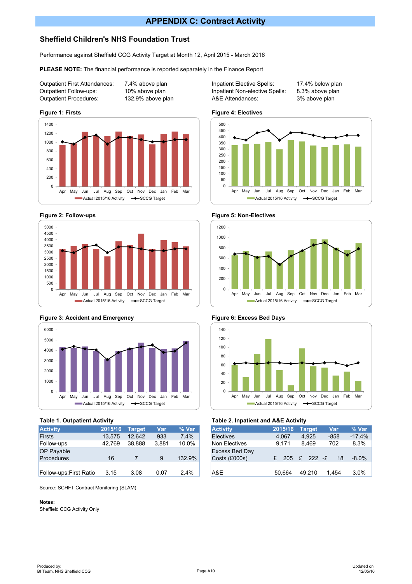## **APPENDIX C: Contract Activity**

## **Sheffield Children's NHS Foundation Trust**

Performance against Sheffield CCG Activity Target at Month 12, April 2015 - March 2016

**PLEASE NOTE:** The financial performance is reported separately in the Finance Report

Outpatient Follow-ups: 10% above plan Inpatient Non-elective Spells: 8.3% above plan Outpatient Procedures: 132.9% above plan A&E Attendances: 3% above plan











| <b>Activity</b>         | 2015/16 | Target | Var   | % Var  |
|-------------------------|---------|--------|-------|--------|
| Firsts                  | 13.575  | 12.642 | 933   | 7.4%   |
| Follow-ups              | 42.769  | 38.888 | 3.881 | 10.0%  |
| <b>OP Payable</b>       |         |        |       |        |
| <b>Procedures</b>       | 16      |        | 9     | 132.9% |
|                         |         |        |       |        |
| Follow-ups: First Ratio | 3.15    | 3.08   | 0.07  | 2.4%   |

Source: SCHFT Contract Monitoring (SLAM)

#### **Notes:**

Sheffield CCG Activity Only

Outpatient First Attendances: 7.4% above plan Inpatient Elective Spells: 17.4% below plan













### **Table 1. Outpatient Activity Table 2. Inpatient and A&E Activity**

| <b>Activity</b>                 | 2015/16 | <b>Target</b>        | Var    | % Var    |
|---------------------------------|---------|----------------------|--------|----------|
| <b>Electives</b>                | 4,067   | 4.925                | $-858$ | $-17.4%$ |
| Non Electives                   | 9,171   | 8,469                | 702    | 8.3%     |
| Excess Bed Day<br>Costs (£000s) |         | $205 \t f 222 \t -f$ | 18     | $-8.0\%$ |
| A&E                             | 50,664  | 49.210               | 1,454  | 3.0%     |